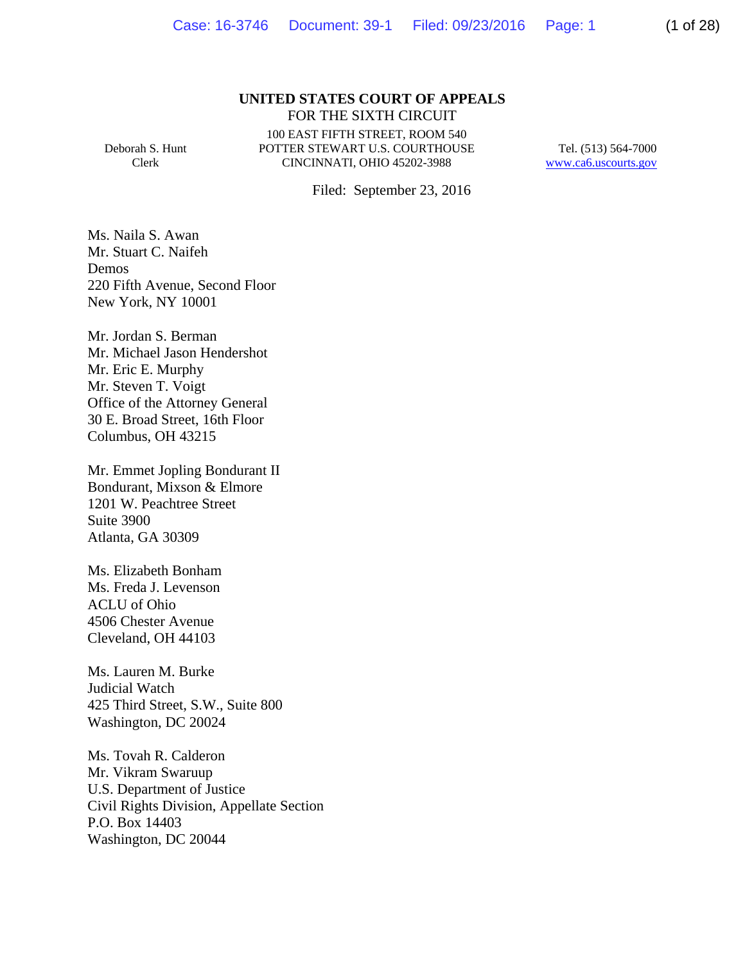#### **UNITED STATES COURT OF APPEALS** FOR THE SIXTH CIRCUIT

Deborah S. Hunt Clerk

100 EAST FIFTH STREET, ROOM 540 POTTER STEWART U.S. COURTHOUSE CINCINNATI, OHIO 45202-3988

Tel. (513) 564-7000 www.ca6.uscourts.gov

Filed: September 23, 2016

Ms. Naila S. Awan Mr. Stuart C. Naifeh Demos 220 Fifth Avenue, Second Floor New York, NY 10001

Mr. Jordan S. Berman Mr. Michael Jason Hendershot Mr. Eric E. Murphy Mr. Steven T. Voigt Office of the Attorney General 30 E. Broad Street, 16th Floor Columbus, OH 43215

Mr. Emmet Jopling Bondurant II Bondurant, Mixson & Elmore 1201 W. Peachtree Street Suite 3900 Atlanta, GA 30309

Ms. Elizabeth Bonham Ms. Freda J. Levenson ACLU of Ohio 4506 Chester Avenue Cleveland, OH 44103

Ms. Lauren M. Burke Judicial Watch 425 Third Street, S.W., Suite 800 Washington, DC 20024

Ms. Tovah R. Calderon Mr. Vikram Swaruup U.S. Department of Justice Civil Rights Division, Appellate Section P.O. Box 14403 Washington, DC 20044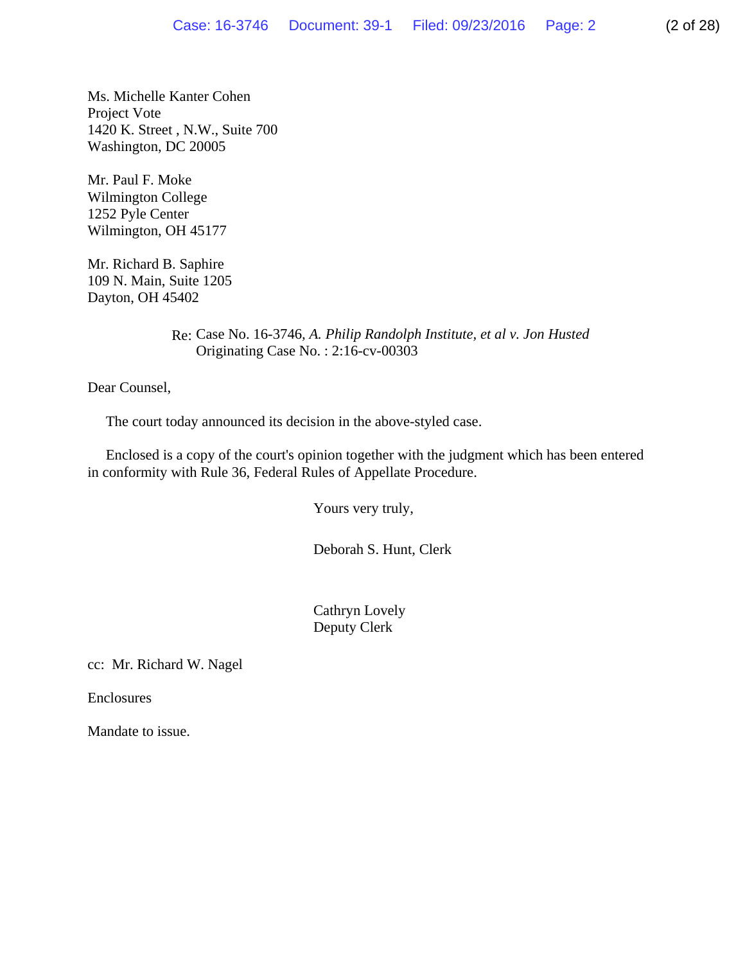Ms. Michelle Kanter Cohen Project Vote 1420 K. Street , N.W., Suite 700 Washington, DC 20005

Mr. Paul F. Moke Wilmington College 1252 Pyle Center Wilmington, OH 45177

Mr. Richard B. Saphire 109 N. Main, Suite 1205 Dayton, OH 45402

> Re: Case No. 16-3746*, A. Philip Randolph Institute, et al v. Jon Husted* Originating Case No. : 2:16-cv-00303

Dear Counsel,

The court today announced its decision in the above-styled case.

 Enclosed is a copy of the court's opinion together with the judgment which has been entered in conformity with Rule 36, Federal Rules of Appellate Procedure.

Yours very truly,

Deborah S. Hunt, Clerk

 Cathryn Lovely Deputy Clerk

cc: Mr. Richard W. Nagel

Enclosures

Mandate to issue.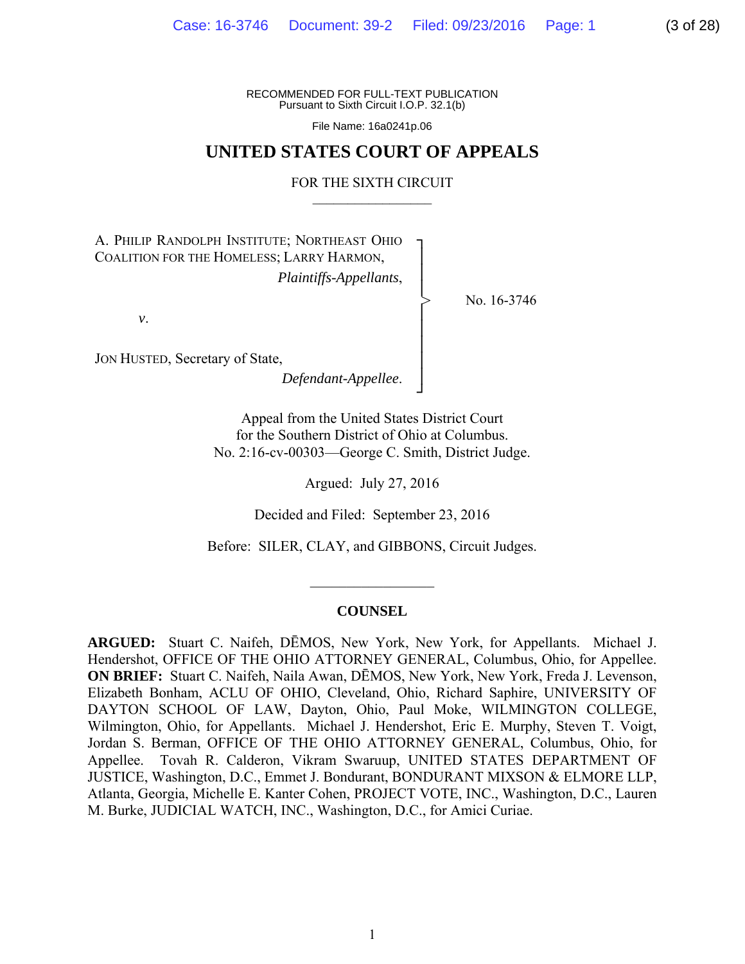RECOMMENDED FOR FULL-TEXT PUBLICATION Pursuant to Sixth Circuit I.O.P. 32.1(b)

File Name: 16a0241p.06

# **UNITED STATES COURT OF APPEALS**

#### FOR THE SIXTH CIRCUIT  $\mathcal{L}_\text{max}$

┐ │ │ │ │ │ │ │ │ ┘

>

A. PHILIP RANDOLPH INSTITUTE; NORTHEAST OHIO COALITION FOR THE HOMELESS; LARRY HARMON, *Plaintiffs-Appellants*,

No. 16-3746

*v*.

JON HUSTED, Secretary of State,

*Defendant-Appellee*.

Appeal from the United States District Court for the Southern District of Ohio at Columbus. No. 2:16-cv-00303—George C. Smith, District Judge.

Argued: July 27, 2016

Decided and Filed: September 23, 2016

Before: SILER, CLAY, and GIBBONS, Circuit Judges.

#### **COUNSEL**

 $\frac{1}{2}$ 

**ARGUED:** Stuart C. Naifeh, DĒMOS, New York, New York, for Appellants. Michael J. Hendershot, OFFICE OF THE OHIO ATTORNEY GENERAL, Columbus, Ohio, for Appellee. **ON BRIEF:** Stuart C. Naifeh, Naila Awan, DĒMOS, New York, New York, Freda J. Levenson, Elizabeth Bonham, ACLU OF OHIO, Cleveland, Ohio, Richard Saphire, UNIVERSITY OF DAYTON SCHOOL OF LAW, Dayton, Ohio, Paul Moke, WILMINGTON COLLEGE, Wilmington, Ohio, for Appellants. Michael J. Hendershot, Eric E. Murphy, Steven T. Voigt, Jordan S. Berman, OFFICE OF THE OHIO ATTORNEY GENERAL, Columbus, Ohio, for Appellee. Tovah R. Calderon, Vikram Swaruup, UNITED STATES DEPARTMENT OF JUSTICE, Washington, D.C., Emmet J. Bondurant, BONDURANT MIXSON & ELMORE LLP, Atlanta, Georgia, Michelle E. Kanter Cohen, PROJECT VOTE, INC., Washington, D.C., Lauren M. Burke, JUDICIAL WATCH, INC., Washington, D.C., for Amici Curiae.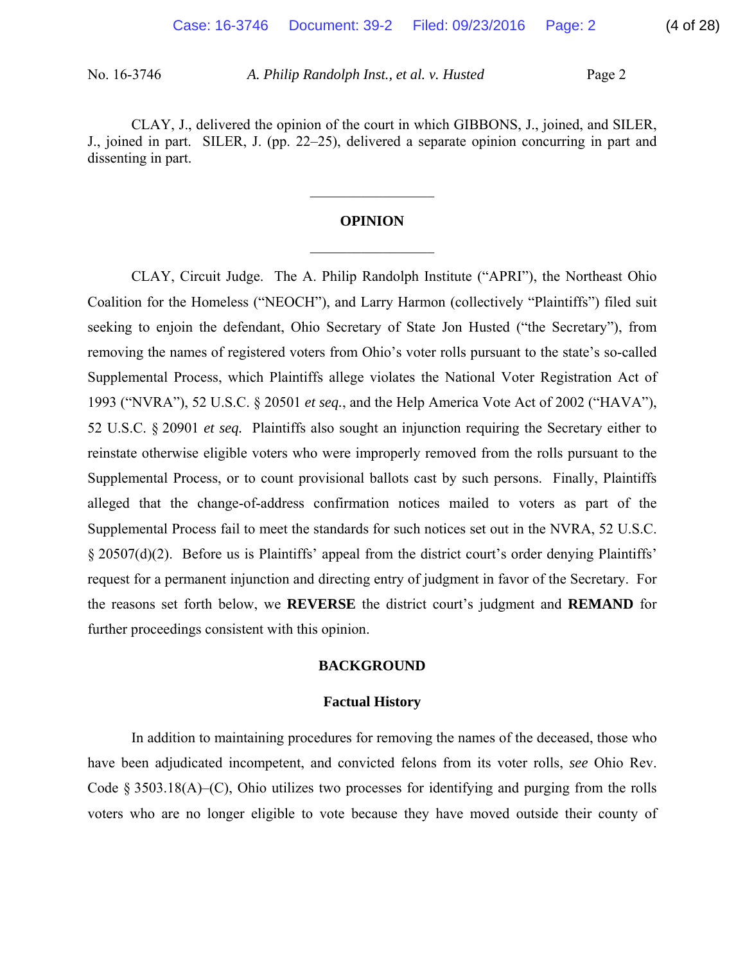CLAY, J., delivered the opinion of the court in which GIBBONS, J., joined, and SILER, J., joined in part. SILER, J. (pp. 22–25), delivered a separate opinion concurring in part and dissenting in part.

# **OPINION**   $\frac{1}{2}$

 $\frac{1}{2}$ 

CLAY, Circuit Judge. The A. Philip Randolph Institute ("APRI"), the Northeast Ohio Coalition for the Homeless ("NEOCH"), and Larry Harmon (collectively "Plaintiffs") filed suit seeking to enjoin the defendant, Ohio Secretary of State Jon Husted ("the Secretary"), from removing the names of registered voters from Ohio's voter rolls pursuant to the state's so-called Supplemental Process, which Plaintiffs allege violates the National Voter Registration Act of 1993 ("NVRA"), 52 U.S.C. § 20501 *et seq.*, and the Help America Vote Act of 2002 ("HAVA"), 52 U.S.C. § 20901 *et seq.* Plaintiffs also sought an injunction requiring the Secretary either to reinstate otherwise eligible voters who were improperly removed from the rolls pursuant to the Supplemental Process, or to count provisional ballots cast by such persons. Finally, Plaintiffs alleged that the change-of-address confirmation notices mailed to voters as part of the Supplemental Process fail to meet the standards for such notices set out in the NVRA, 52 U.S.C. § 20507(d)(2). Before us is Plaintiffs' appeal from the district court's order denying Plaintiffs' request for a permanent injunction and directing entry of judgment in favor of the Secretary. For the reasons set forth below, we **REVERSE** the district court's judgment and **REMAND** for further proceedings consistent with this opinion.

## **BACKGROUND**

#### **Factual History**

 In addition to maintaining procedures for removing the names of the deceased, those who have been adjudicated incompetent, and convicted felons from its voter rolls, *see* Ohio Rev. Code § 3503.18(A)–(C), Ohio utilizes two processes for identifying and purging from the rolls voters who are no longer eligible to vote because they have moved outside their county of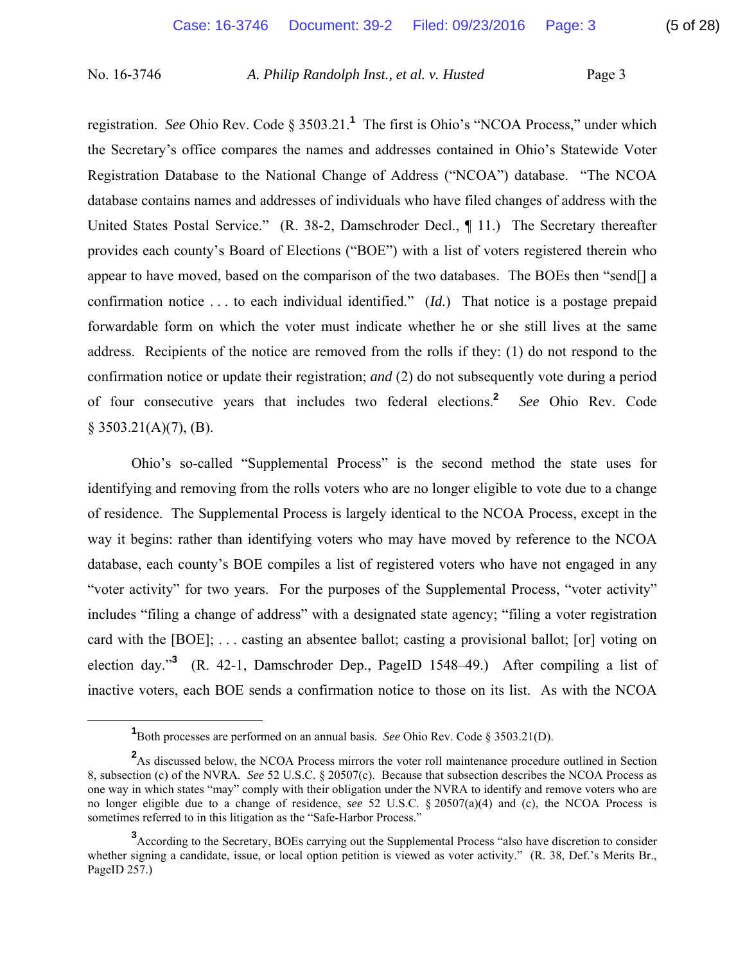registration. *See* Ohio Rev. Code § 3503.21.**<sup>1</sup>** The first is Ohio's "NCOA Process," under which the Secretary's office compares the names and addresses contained in Ohio's Statewide Voter Registration Database to the National Change of Address ("NCOA") database. "The NCOA database contains names and addresses of individuals who have filed changes of address with the United States Postal Service." (R. 38-2, Damschroder Decl., ¶ 11.) The Secretary thereafter provides each county's Board of Elections ("BOE") with a list of voters registered therein who appear to have moved, based on the comparison of the two databases. The BOEs then "send[] a confirmation notice . . . to each individual identified." (*Id.*) That notice is a postage prepaid forwardable form on which the voter must indicate whether he or she still lives at the same address. Recipients of the notice are removed from the rolls if they: (1) do not respond to the confirmation notice or update their registration; *and* (2) do not subsequently vote during a period of four consecutive years that includes two federal elections.**<sup>2</sup>** *See* Ohio Rev. Code  $§ 3503.21(A)(7), (B).$ 

 Ohio's so-called "Supplemental Process" is the second method the state uses for identifying and removing from the rolls voters who are no longer eligible to vote due to a change of residence. The Supplemental Process is largely identical to the NCOA Process, except in the way it begins: rather than identifying voters who may have moved by reference to the NCOA database, each county's BOE compiles a list of registered voters who have not engaged in any "voter activity" for two years. For the purposes of the Supplemental Process, "voter activity" includes "filing a change of address" with a designated state agency; "filing a voter registration card with the [BOE]; . . . casting an absentee ballot; casting a provisional ballot; [or] voting on election day."**<sup>3</sup>** (R. 42-1, Damschroder Dep., PageID 1548–49.) After compiling a list of inactive voters, each BOE sends a confirmation notice to those on its list. As with the NCOA

<sup>&</sup>lt;u>1</u> Both processes are performed on an annual basis. *See* Ohio Rev. Code § 3503.21(D).

<sup>&</sup>lt;sup>2</sup>As discussed below, the NCOA Process mirrors the voter roll maintenance procedure outlined in Section 8, subsection (c) of the NVRA. *See* 52 U.S.C. § 20507(c). Because that subsection describes the NCOA Process as one way in which states "may" comply with their obligation under the NVRA to identify and remove voters who are no longer eligible due to a change of residence, *see* 52 U.S.C. § 20507(a)(4) and (c), the NCOA Process is sometimes referred to in this litigation as the "Safe-Harbor Process."

<sup>&</sup>lt;sup>3</sup> According to the Secretary, BOEs carrying out the Supplemental Process "also have discretion to consider whether signing a candidate, issue, or local option petition is viewed as voter activity." (R. 38, Def.'s Merits Br., PageID 257.)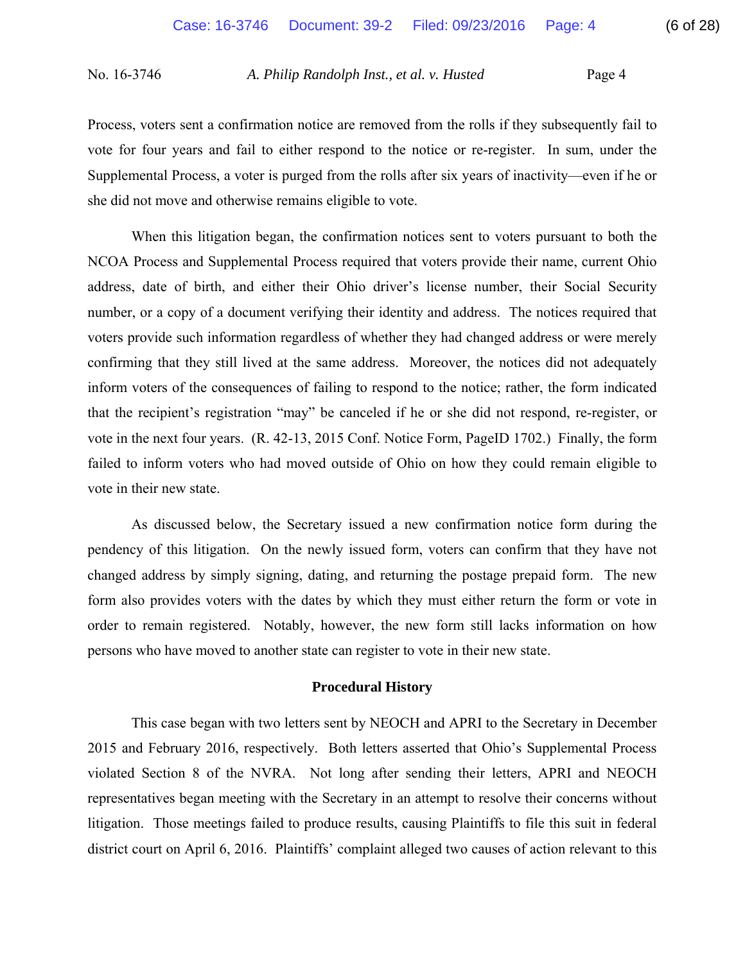Process, voters sent a confirmation notice are removed from the rolls if they subsequently fail to vote for four years and fail to either respond to the notice or re-register. In sum, under the Supplemental Process, a voter is purged from the rolls after six years of inactivity—even if he or she did not move and otherwise remains eligible to vote.

 When this litigation began, the confirmation notices sent to voters pursuant to both the NCOA Process and Supplemental Process required that voters provide their name, current Ohio address, date of birth, and either their Ohio driver's license number, their Social Security number, or a copy of a document verifying their identity and address. The notices required that voters provide such information regardless of whether they had changed address or were merely confirming that they still lived at the same address. Moreover, the notices did not adequately inform voters of the consequences of failing to respond to the notice; rather, the form indicated that the recipient's registration "may" be canceled if he or she did not respond, re-register, or vote in the next four years. (R. 42-13, 2015 Conf. Notice Form, PageID 1702.) Finally, the form failed to inform voters who had moved outside of Ohio on how they could remain eligible to vote in their new state.

 As discussed below, the Secretary issued a new confirmation notice form during the pendency of this litigation. On the newly issued form, voters can confirm that they have not changed address by simply signing, dating, and returning the postage prepaid form. The new form also provides voters with the dates by which they must either return the form or vote in order to remain registered. Notably, however, the new form still lacks information on how persons who have moved to another state can register to vote in their new state.

## **Procedural History**

 This case began with two letters sent by NEOCH and APRI to the Secretary in December 2015 and February 2016, respectively. Both letters asserted that Ohio's Supplemental Process violated Section 8 of the NVRA. Not long after sending their letters, APRI and NEOCH representatives began meeting with the Secretary in an attempt to resolve their concerns without litigation. Those meetings failed to produce results, causing Plaintiffs to file this suit in federal district court on April 6, 2016. Plaintiffs' complaint alleged two causes of action relevant to this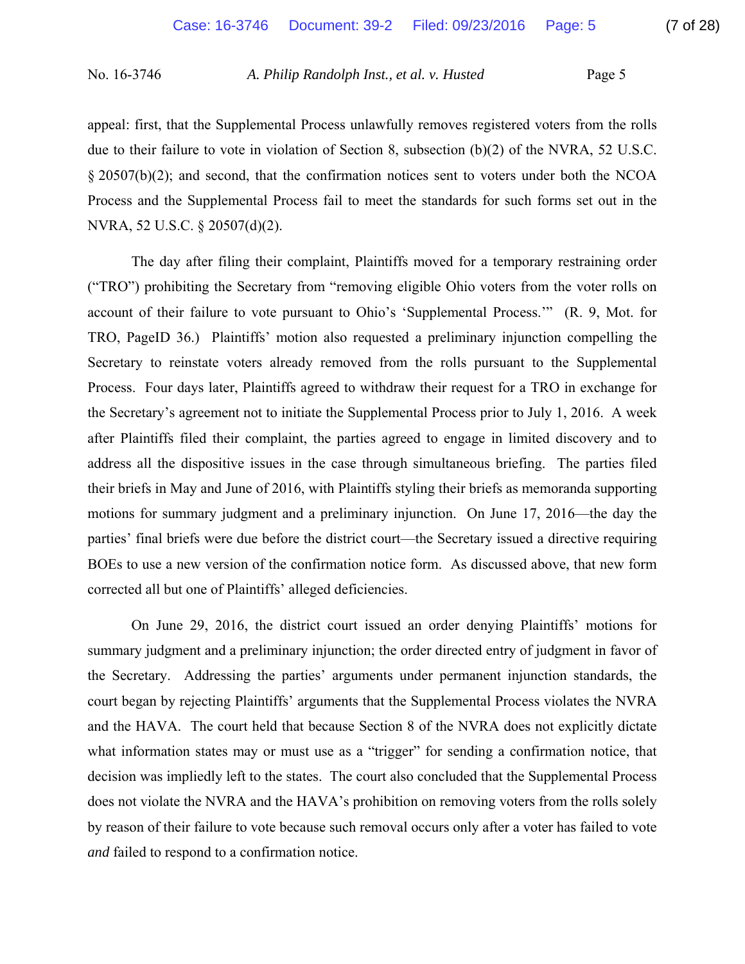appeal: first, that the Supplemental Process unlawfully removes registered voters from the rolls due to their failure to vote in violation of Section 8, subsection (b)(2) of the NVRA, 52 U.S.C. § 20507(b)(2); and second, that the confirmation notices sent to voters under both the NCOA Process and the Supplemental Process fail to meet the standards for such forms set out in the NVRA, 52 U.S.C. § 20507(d)(2).

 The day after filing their complaint, Plaintiffs moved for a temporary restraining order ("TRO") prohibiting the Secretary from "removing eligible Ohio voters from the voter rolls on account of their failure to vote pursuant to Ohio's 'Supplemental Process.'" (R. 9, Mot. for TRO, PageID 36.) Plaintiffs' motion also requested a preliminary injunction compelling the Secretary to reinstate voters already removed from the rolls pursuant to the Supplemental Process. Four days later, Plaintiffs agreed to withdraw their request for a TRO in exchange for the Secretary's agreement not to initiate the Supplemental Process prior to July 1, 2016. A week after Plaintiffs filed their complaint, the parties agreed to engage in limited discovery and to address all the dispositive issues in the case through simultaneous briefing. The parties filed their briefs in May and June of 2016, with Plaintiffs styling their briefs as memoranda supporting motions for summary judgment and a preliminary injunction. On June 17, 2016—the day the parties' final briefs were due before the district court—the Secretary issued a directive requiring BOEs to use a new version of the confirmation notice form. As discussed above, that new form corrected all but one of Plaintiffs' alleged deficiencies.

 On June 29, 2016, the district court issued an order denying Plaintiffs' motions for summary judgment and a preliminary injunction; the order directed entry of judgment in favor of the Secretary. Addressing the parties' arguments under permanent injunction standards, the court began by rejecting Plaintiffs' arguments that the Supplemental Process violates the NVRA and the HAVA. The court held that because Section 8 of the NVRA does not explicitly dictate what information states may or must use as a "trigger" for sending a confirmation notice, that decision was impliedly left to the states. The court also concluded that the Supplemental Process does not violate the NVRA and the HAVA's prohibition on removing voters from the rolls solely by reason of their failure to vote because such removal occurs only after a voter has failed to vote *and* failed to respond to a confirmation notice.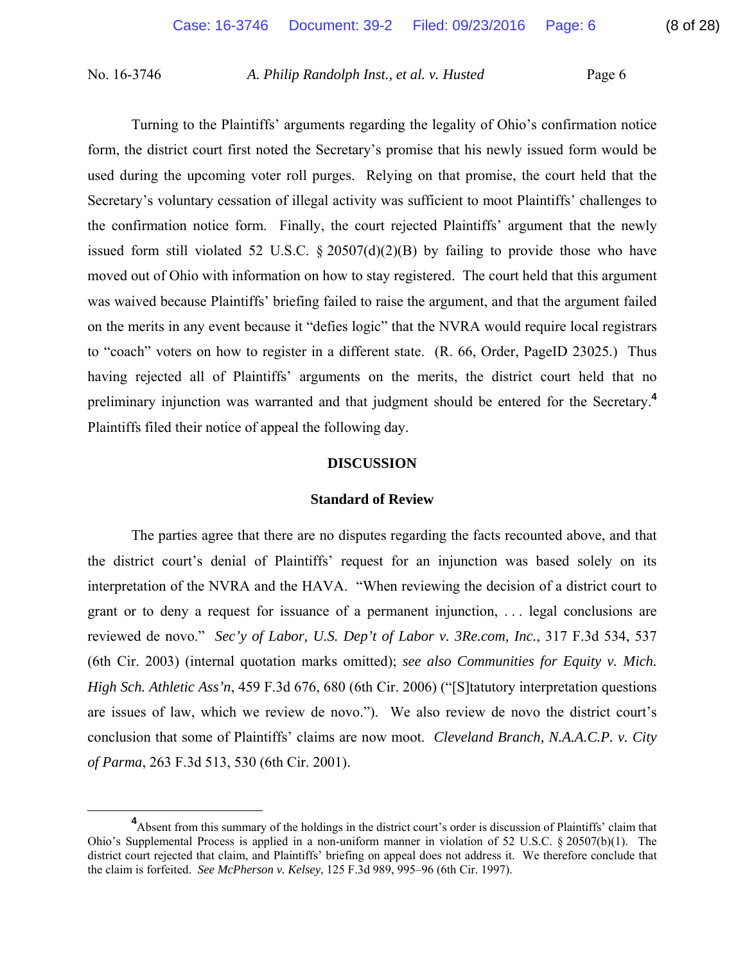Turning to the Plaintiffs' arguments regarding the legality of Ohio's confirmation notice form, the district court first noted the Secretary's promise that his newly issued form would be used during the upcoming voter roll purges. Relying on that promise, the court held that the Secretary's voluntary cessation of illegal activity was sufficient to moot Plaintiffs' challenges to the confirmation notice form. Finally, the court rejected Plaintiffs' argument that the newly issued form still violated 52 U.S.C.  $\S 20507(d)(2)(B)$  by failing to provide those who have moved out of Ohio with information on how to stay registered. The court held that this argument was waived because Plaintiffs' briefing failed to raise the argument, and that the argument failed on the merits in any event because it "defies logic" that the NVRA would require local registrars to "coach" voters on how to register in a different state. (R. 66, Order, PageID 23025.) Thus having rejected all of Plaintiffs' arguments on the merits, the district court held that no preliminary injunction was warranted and that judgment should be entered for the Secretary.**<sup>4</sup>** Plaintiffs filed their notice of appeal the following day.

## **DISCUSSION**

### **Standard of Review**

 The parties agree that there are no disputes regarding the facts recounted above, and that the district court's denial of Plaintiffs' request for an injunction was based solely on its interpretation of the NVRA and the HAVA. "When reviewing the decision of a district court to grant or to deny a request for issuance of a permanent injunction, . . . legal conclusions are reviewed de novo." *Sec'y of Labor, U.S. Dep't of Labor v. 3Re.com, Inc.*, 317 F.3d 534, 537 (6th Cir. 2003) (internal quotation marks omitted); *see also Communities for Equity v. Mich. High Sch. Athletic Ass'n*, 459 F.3d 676, 680 (6th Cir. 2006) ("[S]tatutory interpretation questions are issues of law, which we review de novo."). We also review de novo the district court's conclusion that some of Plaintiffs' claims are now moot. *Cleveland Branch, N.A.A.C.P. v. City of Parma*, 263 F.3d 513, 530 (6th Cir. 2001).

**<sup>4</sup>** Absent from this summary of the holdings in the district court's order is discussion of Plaintiffs' claim that Ohio's Supplemental Process is applied in a non-uniform manner in violation of 52 U.S.C. § 20507(b)(1). The district court rejected that claim, and Plaintiffs' briefing on appeal does not address it. We therefore conclude that the claim is forfeited. *See McPherson v. Kelsey*, 125 F.3d 989, 995–96 (6th Cir. 1997).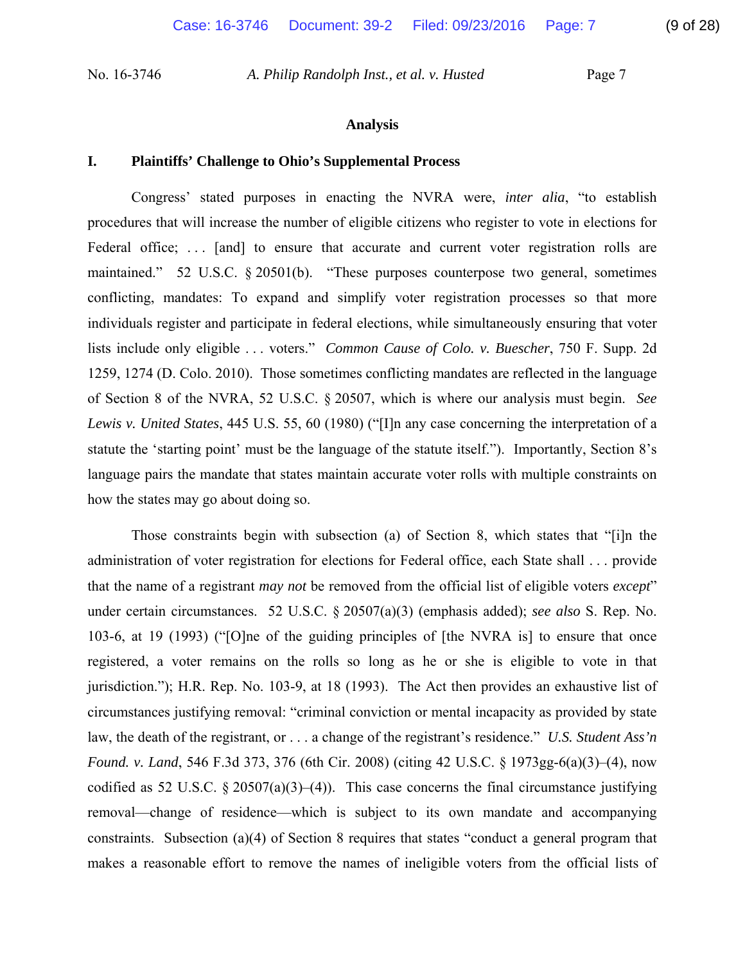### **Analysis**

### **I. Plaintiffs' Challenge to Ohio's Supplemental Process**

Congress' stated purposes in enacting the NVRA were, *inter alia*, "to establish procedures that will increase the number of eligible citizens who register to vote in elections for Federal office; ... [and] to ensure that accurate and current voter registration rolls are maintained." 52 U.S.C. § 20501(b). "These purposes counterpose two general, sometimes conflicting, mandates: To expand and simplify voter registration processes so that more individuals register and participate in federal elections, while simultaneously ensuring that voter lists include only eligible . . . voters." *Common Cause of Colo. v. Buescher*, 750 F. Supp. 2d 1259, 1274 (D. Colo. 2010). Those sometimes conflicting mandates are reflected in the language of Section 8 of the NVRA, 52 U.S.C. § 20507, which is where our analysis must begin. *See Lewis v. United States*, 445 U.S. 55, 60 (1980) ("[I]n any case concerning the interpretation of a statute the 'starting point' must be the language of the statute itself."). Importantly, Section 8's language pairs the mandate that states maintain accurate voter rolls with multiple constraints on how the states may go about doing so.

Those constraints begin with subsection (a) of Section 8, which states that "[i]n the administration of voter registration for elections for Federal office, each State shall . . . provide that the name of a registrant *may not* be removed from the official list of eligible voters *except*" under certain circumstances. 52 U.S.C. § 20507(a)(3) (emphasis added); *see also* S. Rep. No. 103-6, at 19 (1993) ("[O]ne of the guiding principles of [the NVRA is] to ensure that once registered, a voter remains on the rolls so long as he or she is eligible to vote in that jurisdiction."); H.R. Rep. No. 103-9, at 18 (1993). The Act then provides an exhaustive list of circumstances justifying removal: "criminal conviction or mental incapacity as provided by state law, the death of the registrant, or . . . a change of the registrant's residence." *U.S. Student Ass'n Found. v. Land*, 546 F.3d 373, 376 (6th Cir. 2008) (citing 42 U.S.C. § 1973gg-6(a)(3)–(4), now codified as 52 U.S.C. § 20507(a)(3)–(4)). This case concerns the final circumstance justifying removal—change of residence—which is subject to its own mandate and accompanying constraints. Subsection (a)(4) of Section 8 requires that states "conduct a general program that makes a reasonable effort to remove the names of ineligible voters from the official lists of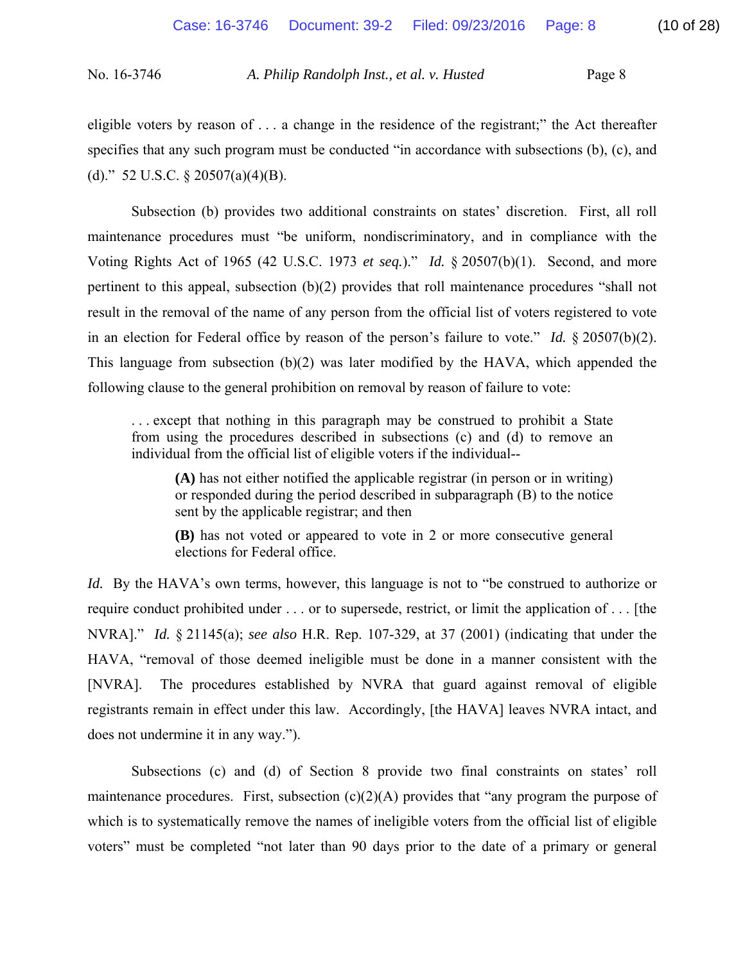eligible voters by reason of . . . a change in the residence of the registrant;" the Act thereafter specifies that any such program must be conducted "in accordance with subsections (b), (c), and (d)." 52 U.S.C.  $\S$  20507(a)(4)(B).

 Subsection (b) provides two additional constraints on states' discretion. First, all roll maintenance procedures must "be uniform, nondiscriminatory, and in compliance with the Voting Rights Act of 1965 (42 U.S.C. 1973 *et seq.*)." *Id.* § 20507(b)(1). Second, and more pertinent to this appeal, subsection (b)(2) provides that roll maintenance procedures "shall not result in the removal of the name of any person from the official list of voters registered to vote in an election for Federal office by reason of the person's failure to vote." *Id.* § 20507(b)(2). This language from subsection (b)(2) was later modified by the HAVA, which appended the following clause to the general prohibition on removal by reason of failure to vote:

. . . except that nothing in this paragraph may be construed to prohibit a State from using the procedures described in subsections (c) and (d) to remove an individual from the official list of eligible voters if the individual--

**(A)** has not either notified the applicable registrar (in person or in writing) or responded during the period described in subparagraph (B) to the notice sent by the applicable registrar; and then

**(B)** has not voted or appeared to vote in 2 or more consecutive general elections for Federal office.

*Id.* By the HAVA's own terms, however, this language is not to "be construed to authorize or require conduct prohibited under . . . or to supersede, restrict, or limit the application of . . . [the NVRA]." *Id.* § 21145(a); *see also* H.R. Rep. 107-329, at 37 (2001) (indicating that under the HAVA, "removal of those deemed ineligible must be done in a manner consistent with the [NVRA]. The procedures established by NVRA that guard against removal of eligible registrants remain in effect under this law. Accordingly, [the HAVA] leaves NVRA intact, and does not undermine it in any way.").

 Subsections (c) and (d) of Section 8 provide two final constraints on states' roll maintenance procedures. First, subsection  $(c)(2)(A)$  provides that "any program the purpose of which is to systematically remove the names of ineligible voters from the official list of eligible voters" must be completed "not later than 90 days prior to the date of a primary or general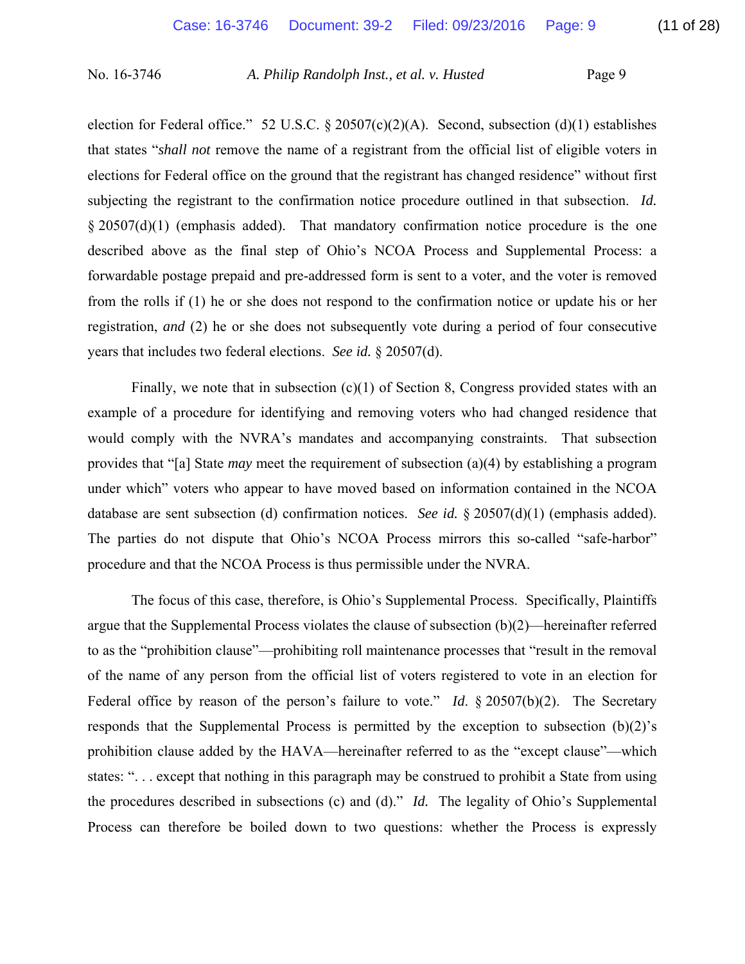election for Federal office." 52 U.S.C. § 20507(c)(2)(A). Second, subsection (d)(1) establishes that states "*shall not* remove the name of a registrant from the official list of eligible voters in elections for Federal office on the ground that the registrant has changed residence" without first subjecting the registrant to the confirmation notice procedure outlined in that subsection. *Id.* § 20507(d)(1) (emphasis added). That mandatory confirmation notice procedure is the one described above as the final step of Ohio's NCOA Process and Supplemental Process: a forwardable postage prepaid and pre-addressed form is sent to a voter, and the voter is removed from the rolls if (1) he or she does not respond to the confirmation notice or update his or her registration, *and* (2) he or she does not subsequently vote during a period of four consecutive years that includes two federal elections. *See id.* § 20507(d).

Finally, we note that in subsection  $(c)(1)$  of Section 8, Congress provided states with an example of a procedure for identifying and removing voters who had changed residence that would comply with the NVRA's mandates and accompanying constraints. That subsection provides that "[a] State *may* meet the requirement of subsection (a)(4) by establishing a program under which" voters who appear to have moved based on information contained in the NCOA database are sent subsection (d) confirmation notices. *See id.* § 20507(d)(1) (emphasis added). The parties do not dispute that Ohio's NCOA Process mirrors this so-called "safe-harbor" procedure and that the NCOA Process is thus permissible under the NVRA.

 The focus of this case, therefore, is Ohio's Supplemental Process. Specifically, Plaintiffs argue that the Supplemental Process violates the clause of subsection (b)(2)—hereinafter referred to as the "prohibition clause"—prohibiting roll maintenance processes that "result in the removal of the name of any person from the official list of voters registered to vote in an election for Federal office by reason of the person's failure to vote." *Id.* § 20507(b)(2). The Secretary responds that the Supplemental Process is permitted by the exception to subsection (b)(2)'s prohibition clause added by the HAVA—hereinafter referred to as the "except clause"—which states: ". . . except that nothing in this paragraph may be construed to prohibit a State from using the procedures described in subsections (c) and (d)." *Id.* The legality of Ohio's Supplemental Process can therefore be boiled down to two questions: whether the Process is expressly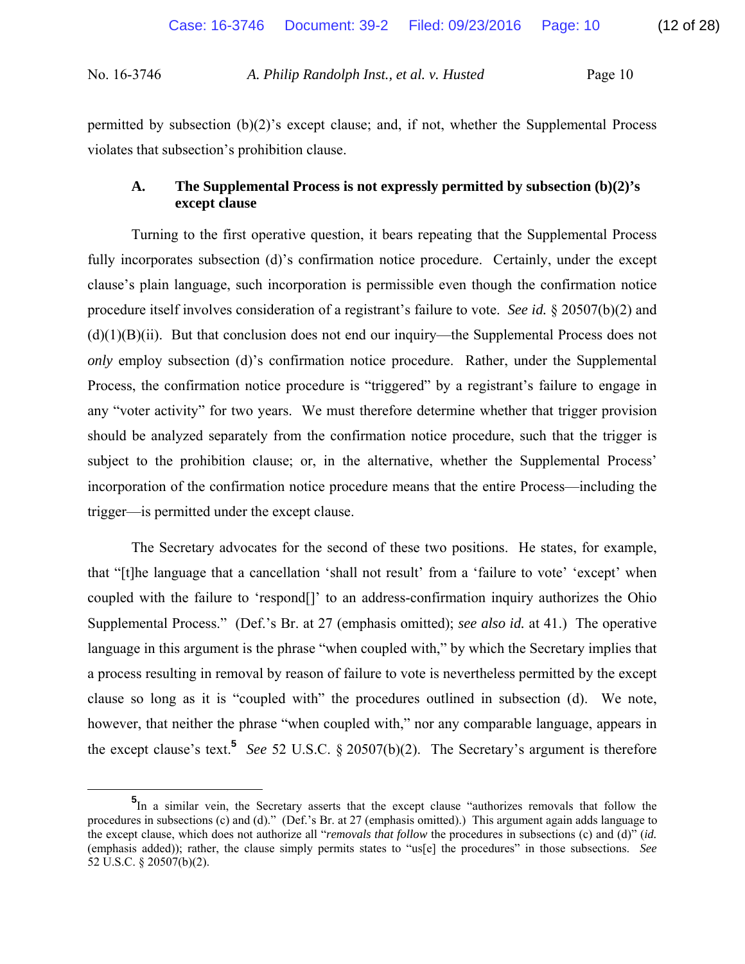permitted by subsection  $(b)(2)$ 's except clause; and, if not, whether the Supplemental Process violates that subsection's prohibition clause.

# **A. The Supplemental Process is not expressly permitted by subsection (b)(2)'s except clause**

 Turning to the first operative question, it bears repeating that the Supplemental Process fully incorporates subsection (d)'s confirmation notice procedure. Certainly, under the except clause's plain language, such incorporation is permissible even though the confirmation notice procedure itself involves consideration of a registrant's failure to vote. *See id.* § 20507(b)(2) and  $(d)(1)(B)(ii)$ . But that conclusion does not end our inquiry—the Supplemental Process does not *only* employ subsection (d)'s confirmation notice procedure. Rather, under the Supplemental Process, the confirmation notice procedure is "triggered" by a registrant's failure to engage in any "voter activity" for two years. We must therefore determine whether that trigger provision should be analyzed separately from the confirmation notice procedure, such that the trigger is subject to the prohibition clause; or, in the alternative, whether the Supplemental Process' incorporation of the confirmation notice procedure means that the entire Process—including the trigger—is permitted under the except clause.

 The Secretary advocates for the second of these two positions. He states, for example, that "[t]he language that a cancellation 'shall not result' from a 'failure to vote' 'except' when coupled with the failure to 'respond[]' to an address-confirmation inquiry authorizes the Ohio Supplemental Process." (Def.'s Br. at 27 (emphasis omitted); *see also id.* at 41.) The operative language in this argument is the phrase "when coupled with," by which the Secretary implies that a process resulting in removal by reason of failure to vote is nevertheless permitted by the except clause so long as it is "coupled with" the procedures outlined in subsection (d). We note, however, that neither the phrase "when coupled with," nor any comparable language, appears in the except clause's text.**<sup>5</sup>** *See* 52 U.S.C. § 20507(b)(2). The Secretary's argument is therefore

**<sup>5</sup>** <sup>5</sup>In a similar vein, the Secretary asserts that the except clause "authorizes removals that follow the procedures in subsections (c) and (d)." (Def.'s Br. at 27 (emphasis omitted).) This argument again adds language to the except clause, which does not authorize all "*removals that follow* the procedures in subsections (c) and (d)" (*id.* (emphasis added)); rather, the clause simply permits states to "us[e] the procedures" in those subsections. *See* 52 U.S.C. § 20507(b)(2).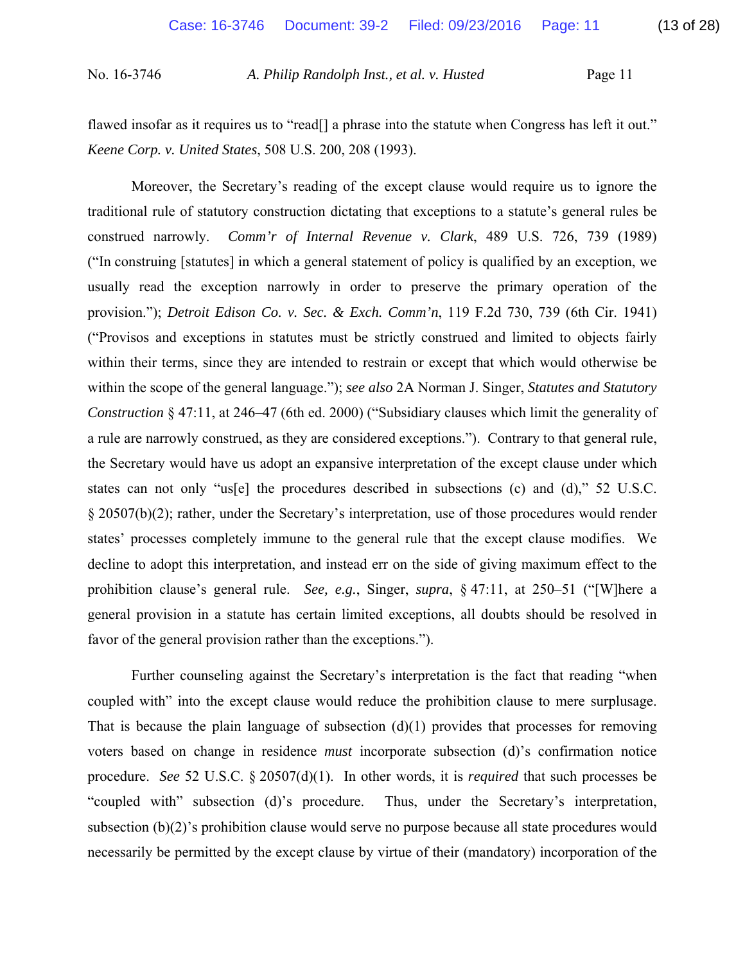flawed insofar as it requires us to "read<sup>[]</sup> a phrase into the statute when Congress has left it out." *Keene Corp. v. United States*, 508 U.S. 200, 208 (1993).

 Moreover, the Secretary's reading of the except clause would require us to ignore the traditional rule of statutory construction dictating that exceptions to a statute's general rules be construed narrowly. *Comm'r of Internal Revenue v. Clark*, 489 U.S. 726, 739 (1989) ("In construing [statutes] in which a general statement of policy is qualified by an exception, we usually read the exception narrowly in order to preserve the primary operation of the provision."); *Detroit Edison Co. v. Sec. & Exch. Comm'n*, 119 F.2d 730, 739 (6th Cir. 1941) ("Provisos and exceptions in statutes must be strictly construed and limited to objects fairly within their terms, since they are intended to restrain or except that which would otherwise be within the scope of the general language."); *see also* 2A Norman J. Singer, *Statutes and Statutory Construction* § 47:11, at 246–47 (6th ed. 2000) ("Subsidiary clauses which limit the generality of a rule are narrowly construed, as they are considered exceptions."). Contrary to that general rule, the Secretary would have us adopt an expansive interpretation of the except clause under which states can not only "us[e] the procedures described in subsections (c) and (d)," 52 U.S.C. § 20507(b)(2); rather, under the Secretary's interpretation, use of those procedures would render states' processes completely immune to the general rule that the except clause modifies. We decline to adopt this interpretation, and instead err on the side of giving maximum effect to the prohibition clause's general rule. *See, e.g.*, Singer, *supra*, § 47:11, at 250–51 ("[W]here a general provision in a statute has certain limited exceptions, all doubts should be resolved in favor of the general provision rather than the exceptions.").

 Further counseling against the Secretary's interpretation is the fact that reading "when coupled with" into the except clause would reduce the prohibition clause to mere surplusage. That is because the plain language of subsection  $(d)(1)$  provides that processes for removing voters based on change in residence *must* incorporate subsection (d)'s confirmation notice procedure. *See* 52 U.S.C. § 20507(d)(1). In other words, it is *required* that such processes be "coupled with" subsection (d)'s procedure. Thus, under the Secretary's interpretation, subsection (b)(2)'s prohibition clause would serve no purpose because all state procedures would necessarily be permitted by the except clause by virtue of their (mandatory) incorporation of the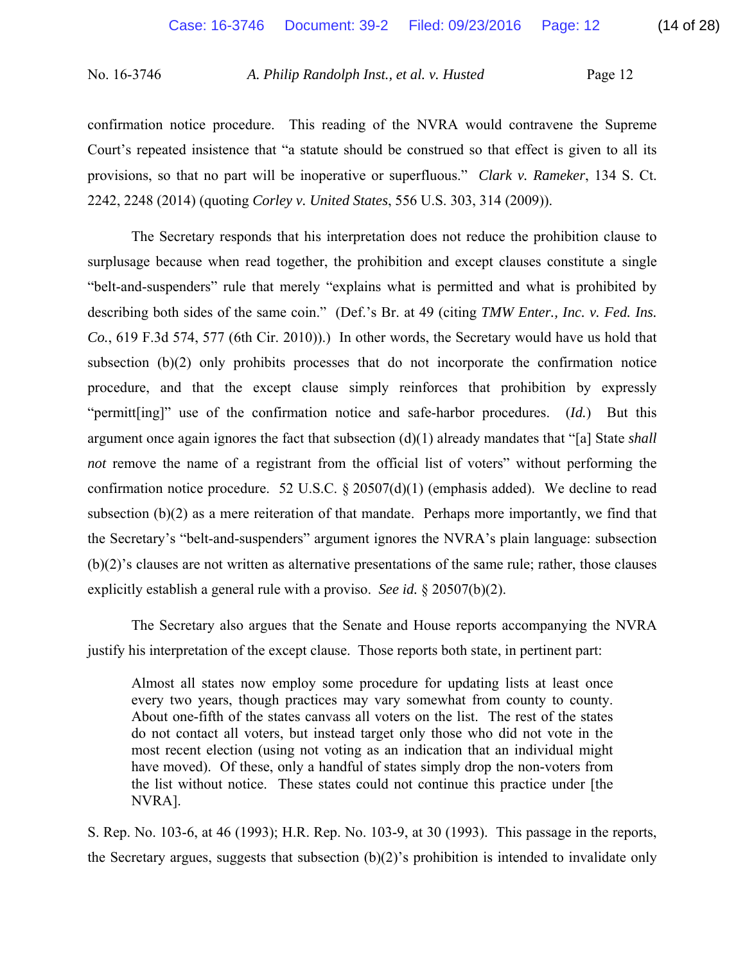confirmation notice procedure. This reading of the NVRA would contravene the Supreme Court's repeated insistence that "a statute should be construed so that effect is given to all its provisions, so that no part will be inoperative or superfluous." *Clark v. Rameker*, 134 S. Ct. 2242, 2248 (2014) (quoting *Corley v. United States*, 556 U.S. 303, 314 (2009)).

 The Secretary responds that his interpretation does not reduce the prohibition clause to surplusage because when read together, the prohibition and except clauses constitute a single "belt-and-suspenders" rule that merely "explains what is permitted and what is prohibited by describing both sides of the same coin." (Def.'s Br. at 49 (citing *TMW Enter., Inc. v. Fed. Ins. Co.*, 619 F.3d 574, 577 (6th Cir. 2010)).) In other words, the Secretary would have us hold that subsection (b)(2) only prohibits processes that do not incorporate the confirmation notice procedure, and that the except clause simply reinforces that prohibition by expressly "permitt[ing]" use of the confirmation notice and safe-harbor procedures. (*Id.*) But this argument once again ignores the fact that subsection (d)(1) already mandates that "[a] State *shall not* remove the name of a registrant from the official list of voters" without performing the confirmation notice procedure. 52 U.S.C. § 20507(d)(1) (emphasis added). We decline to read subsection  $(b)(2)$  as a mere reiteration of that mandate. Perhaps more importantly, we find that the Secretary's "belt-and-suspenders" argument ignores the NVRA's plain language: subsection (b)(2)'s clauses are not written as alternative presentations of the same rule; rather, those clauses explicitly establish a general rule with a proviso. *See id.* § 20507(b)(2).

 The Secretary also argues that the Senate and House reports accompanying the NVRA justify his interpretation of the except clause. Those reports both state, in pertinent part:

Almost all states now employ some procedure for updating lists at least once every two years, though practices may vary somewhat from county to county. About one-fifth of the states canvass all voters on the list. The rest of the states do not contact all voters, but instead target only those who did not vote in the most recent election (using not voting as an indication that an individual might have moved). Of these, only a handful of states simply drop the non-voters from the list without notice. These states could not continue this practice under [the NVRA].

S. Rep. No. 103-6, at 46 (1993); H.R. Rep. No. 103-9, at 30 (1993). This passage in the reports, the Secretary argues, suggests that subsection  $(b)(2)$ 's prohibition is intended to invalidate only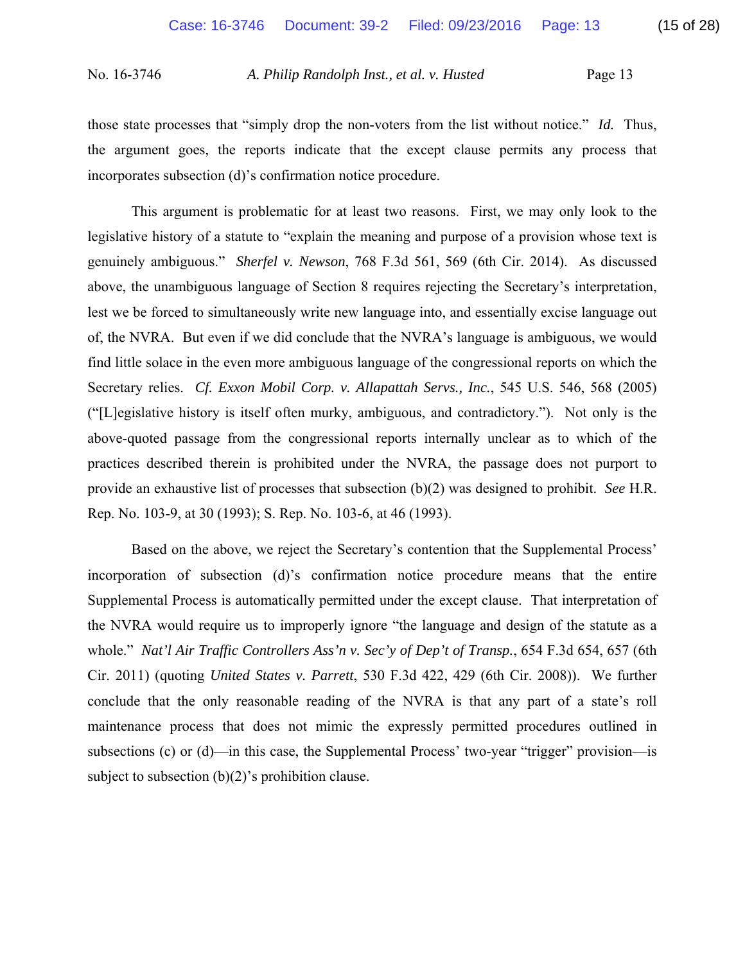those state processes that "simply drop the non-voters from the list without notice." *Id.* Thus, the argument goes, the reports indicate that the except clause permits any process that incorporates subsection (d)'s confirmation notice procedure.

 This argument is problematic for at least two reasons. First, we may only look to the legislative history of a statute to "explain the meaning and purpose of a provision whose text is genuinely ambiguous." *Sherfel v. Newson*, 768 F.3d 561, 569 (6th Cir. 2014). As discussed above, the unambiguous language of Section 8 requires rejecting the Secretary's interpretation, lest we be forced to simultaneously write new language into, and essentially excise language out of, the NVRA. But even if we did conclude that the NVRA's language is ambiguous, we would find little solace in the even more ambiguous language of the congressional reports on which the Secretary relies. *Cf. Exxon Mobil Corp. v. Allapattah Servs., Inc.*, 545 U.S. 546, 568 (2005) ("[L]egislative history is itself often murky, ambiguous, and contradictory."). Not only is the above-quoted passage from the congressional reports internally unclear as to which of the practices described therein is prohibited under the NVRA, the passage does not purport to provide an exhaustive list of processes that subsection (b)(2) was designed to prohibit. *See* H.R. Rep. No. 103-9, at 30 (1993); S. Rep. No. 103-6, at 46 (1993).

 Based on the above, we reject the Secretary's contention that the Supplemental Process' incorporation of subsection (d)'s confirmation notice procedure means that the entire Supplemental Process is automatically permitted under the except clause. That interpretation of the NVRA would require us to improperly ignore "the language and design of the statute as a whole." *Nat'l Air Traffic Controllers Ass'n v. Sec'y of Dep't of Transp.*, 654 F.3d 654, 657 (6th Cir. 2011) (quoting *United States v. Parrett*, 530 F.3d 422, 429 (6th Cir. 2008)). We further conclude that the only reasonable reading of the NVRA is that any part of a state's roll maintenance process that does not mimic the expressly permitted procedures outlined in subsections (c) or (d)—in this case, the Supplemental Process' two-year "trigger" provision—is subject to subsection (b)(2)'s prohibition clause.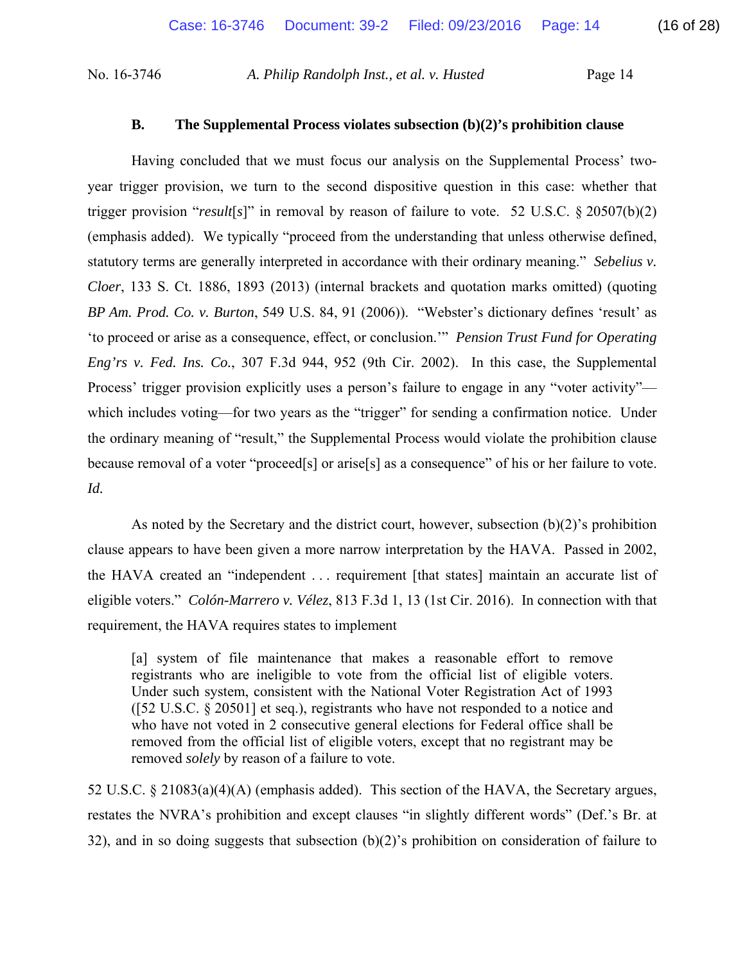## **B. The Supplemental Process violates subsection (b)(2)'s prohibition clause**

 Having concluded that we must focus our analysis on the Supplemental Process' twoyear trigger provision, we turn to the second dispositive question in this case: whether that trigger provision "*result*[*s*]" in removal by reason of failure to vote. 52 U.S.C. § 20507(b)(2) (emphasis added). We typically "proceed from the understanding that unless otherwise defined, statutory terms are generally interpreted in accordance with their ordinary meaning." *Sebelius v. Cloer*, 133 S. Ct. 1886, 1893 (2013) (internal brackets and quotation marks omitted) (quoting *BP Am. Prod. Co. v. Burton*, 549 U.S. 84, 91 (2006)). "Webster's dictionary defines 'result' as 'to proceed or arise as a consequence, effect, or conclusion.'" *Pension Trust Fund for Operating Eng'rs v. Fed. Ins. Co.*, 307 F.3d 944, 952 (9th Cir. 2002). In this case, the Supplemental Process' trigger provision explicitly uses a person's failure to engage in any "voter activity" which includes voting—for two years as the "trigger" for sending a confirmation notice. Under the ordinary meaning of "result," the Supplemental Process would violate the prohibition clause because removal of a voter "proceed[s] or arise[s] as a consequence" of his or her failure to vote. *Id.*

As noted by the Secretary and the district court, however, subsection  $(b)(2)$ 's prohibition clause appears to have been given a more narrow interpretation by the HAVA. Passed in 2002, the HAVA created an "independent . . . requirement [that states] maintain an accurate list of eligible voters." *Colón-Marrero v. Vélez*, 813 F.3d 1, 13 (1st Cir. 2016). In connection with that requirement, the HAVA requires states to implement

[a] system of file maintenance that makes a reasonable effort to remove registrants who are ineligible to vote from the official list of eligible voters. Under such system, consistent with the National Voter Registration Act of 1993 ([52 U.S.C. § 20501] et seq.), registrants who have not responded to a notice and who have not voted in 2 consecutive general elections for Federal office shall be removed from the official list of eligible voters, except that no registrant may be removed *solely* by reason of a failure to vote.

52 U.S.C. § 21083(a)(4)(A) (emphasis added). This section of the HAVA, the Secretary argues, restates the NVRA's prohibition and except clauses "in slightly different words" (Def.'s Br. at 32), and in so doing suggests that subsection  $(b)(2)$ 's prohibition on consideration of failure to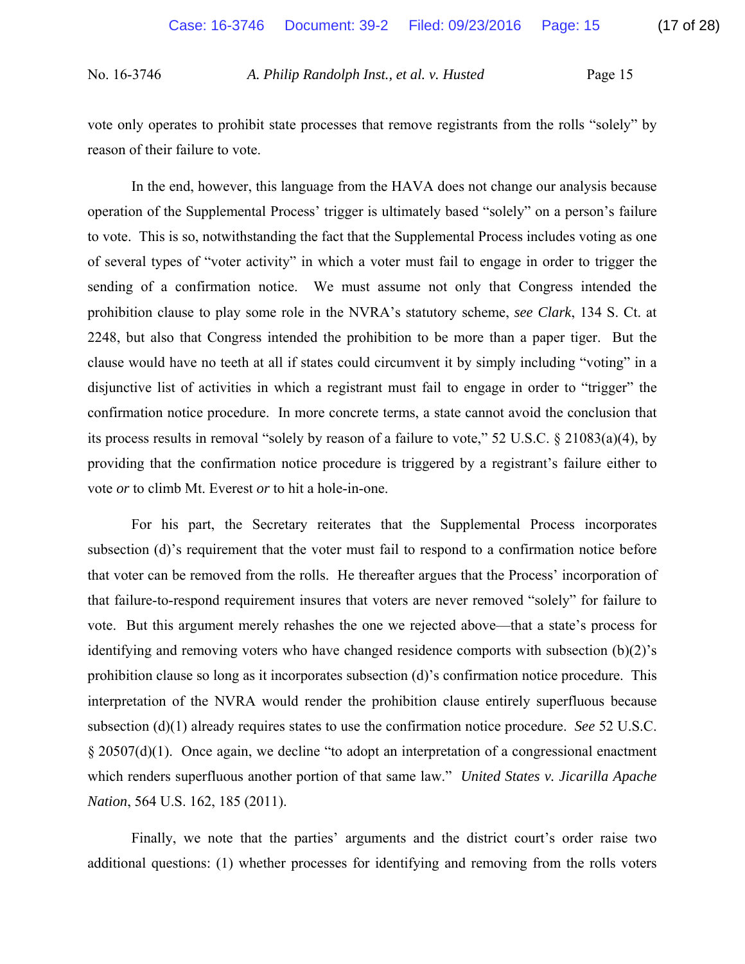vote only operates to prohibit state processes that remove registrants from the rolls "solely" by reason of their failure to vote.

 In the end, however, this language from the HAVA does not change our analysis because operation of the Supplemental Process' trigger is ultimately based "solely" on a person's failure to vote. This is so, notwithstanding the fact that the Supplemental Process includes voting as one of several types of "voter activity" in which a voter must fail to engage in order to trigger the sending of a confirmation notice. We must assume not only that Congress intended the prohibition clause to play some role in the NVRA's statutory scheme, *see Clark*, 134 S. Ct. at 2248, but also that Congress intended the prohibition to be more than a paper tiger. But the clause would have no teeth at all if states could circumvent it by simply including "voting" in a disjunctive list of activities in which a registrant must fail to engage in order to "trigger" the confirmation notice procedure. In more concrete terms, a state cannot avoid the conclusion that its process results in removal "solely by reason of a failure to vote," 52 U.S.C. § 21083(a)(4), by providing that the confirmation notice procedure is triggered by a registrant's failure either to vote *or* to climb Mt. Everest *or* to hit a hole-in-one.

 For his part, the Secretary reiterates that the Supplemental Process incorporates subsection (d)'s requirement that the voter must fail to respond to a confirmation notice before that voter can be removed from the rolls. He thereafter argues that the Process' incorporation of that failure-to-respond requirement insures that voters are never removed "solely" for failure to vote. But this argument merely rehashes the one we rejected above—that a state's process for identifying and removing voters who have changed residence comports with subsection (b)(2)'s prohibition clause so long as it incorporates subsection (d)'s confirmation notice procedure. This interpretation of the NVRA would render the prohibition clause entirely superfluous because subsection (d)(1) already requires states to use the confirmation notice procedure. *See* 52 U.S.C. § 20507(d)(1). Once again, we decline "to adopt an interpretation of a congressional enactment which renders superfluous another portion of that same law." *United States v. Jicarilla Apache Nation*, 564 U.S. 162, 185 (2011).

 Finally, we note that the parties' arguments and the district court's order raise two additional questions: (1) whether processes for identifying and removing from the rolls voters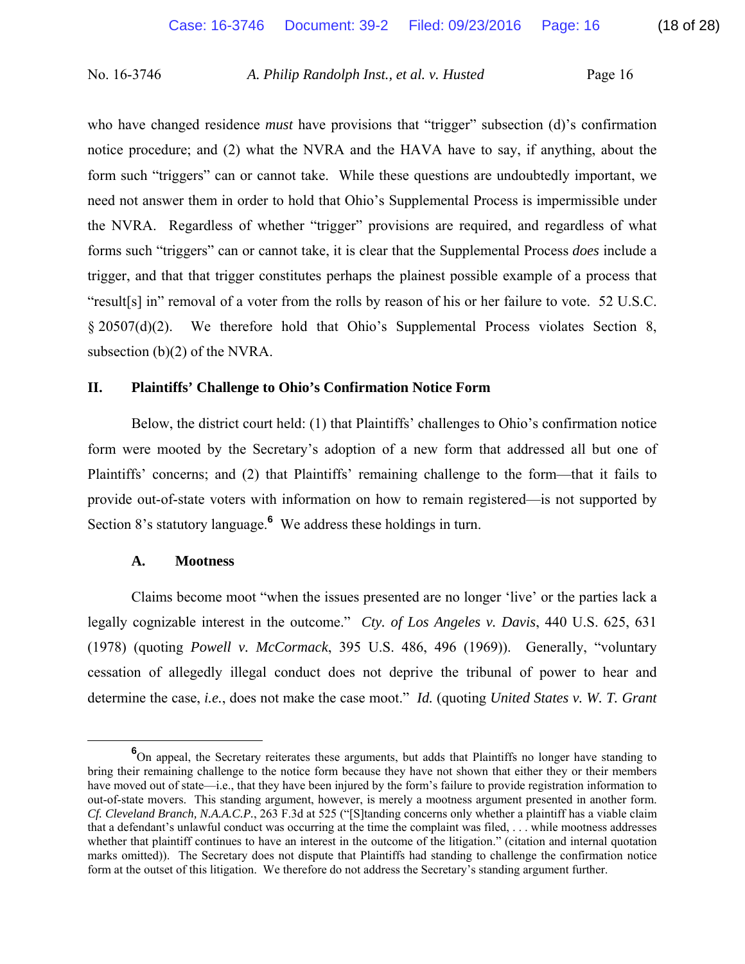who have changed residence *must* have provisions that "trigger" subsection (d)'s confirmation notice procedure; and (2) what the NVRA and the HAVA have to say, if anything, about the form such "triggers" can or cannot take. While these questions are undoubtedly important, we need not answer them in order to hold that Ohio's Supplemental Process is impermissible under the NVRA. Regardless of whether "trigger" provisions are required, and regardless of what forms such "triggers" can or cannot take, it is clear that the Supplemental Process *does* include a trigger, and that that trigger constitutes perhaps the plainest possible example of a process that "result[s] in" removal of a voter from the rolls by reason of his or her failure to vote. 52 U.S.C. § 20507(d)(2). We therefore hold that Ohio's Supplemental Process violates Section 8, subsection (b)(2) of the NVRA.

### **II. Plaintiffs' Challenge to Ohio's Confirmation Notice Form**

 Below, the district court held: (1) that Plaintiffs' challenges to Ohio's confirmation notice form were mooted by the Secretary's adoption of a new form that addressed all but one of Plaintiffs' concerns; and (2) that Plaintiffs' remaining challenge to the form—that it fails to provide out-of-state voters with information on how to remain registered—is not supported by Section 8's statutory language.**<sup>6</sup>** We address these holdings in turn.

### **A. Mootness**

 Claims become moot "when the issues presented are no longer 'live' or the parties lack a legally cognizable interest in the outcome." *Cty. of Los Angeles v. Davis*, 440 U.S. 625, 631 (1978) (quoting *Powell v. McCormack*, 395 U.S. 486, 496 (1969)). Generally, "voluntary cessation of allegedly illegal conduct does not deprive the tribunal of power to hear and determine the case, *i.e.*, does not make the case moot." *Id.* (quoting *United States v. W. T. Grant* 

**<sup>6</sup>** On appeal, the Secretary reiterates these arguments, but adds that Plaintiffs no longer have standing to bring their remaining challenge to the notice form because they have not shown that either they or their members have moved out of state—i.e., that they have been injured by the form's failure to provide registration information to out-of-state movers. This standing argument, however, is merely a mootness argument presented in another form. *Cf. Cleveland Branch, N.A.A.C.P.*, 263 F.3d at 525 ("[S]tanding concerns only whether a plaintiff has a viable claim that a defendant's unlawful conduct was occurring at the time the complaint was filed, . . . while mootness addresses whether that plaintiff continues to have an interest in the outcome of the litigation." (citation and internal quotation marks omitted)). The Secretary does not dispute that Plaintiffs had standing to challenge the confirmation notice form at the outset of this litigation. We therefore do not address the Secretary's standing argument further.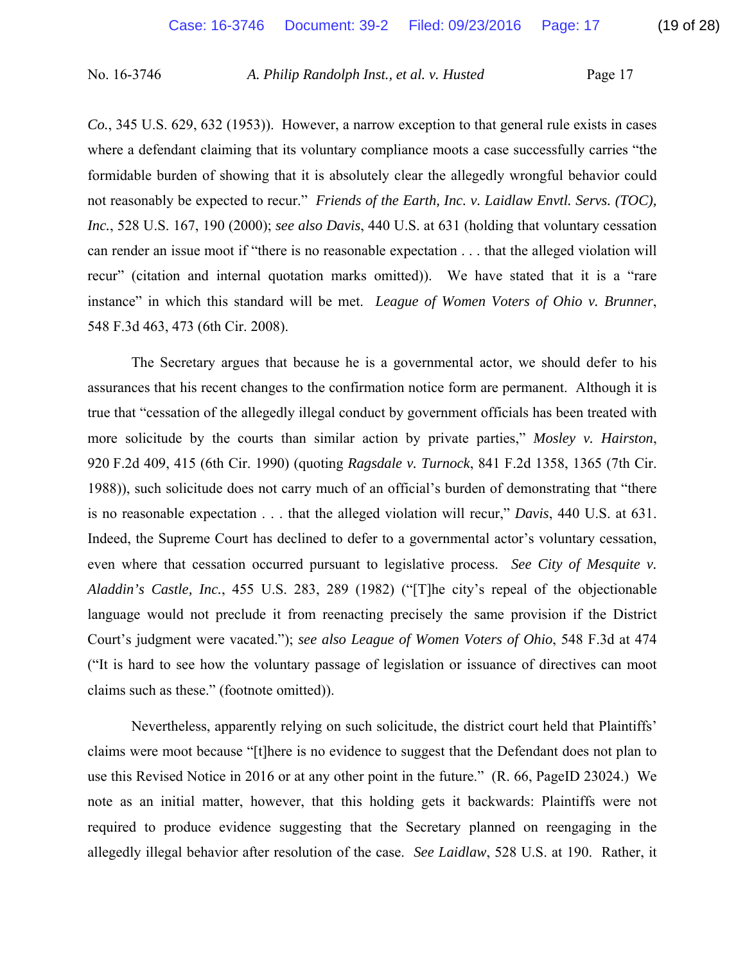*Co.*, 345 U.S. 629, 632 (1953)). However, a narrow exception to that general rule exists in cases where a defendant claiming that its voluntary compliance moots a case successfully carries "the formidable burden of showing that it is absolutely clear the allegedly wrongful behavior could not reasonably be expected to recur." *Friends of the Earth, Inc. v. Laidlaw Envtl. Servs. (TOC), Inc.*, 528 U.S. 167, 190 (2000); *see also Davis*, 440 U.S. at 631 (holding that voluntary cessation can render an issue moot if "there is no reasonable expectation . . . that the alleged violation will recur" (citation and internal quotation marks omitted)). We have stated that it is a "rare instance" in which this standard will be met. *League of Women Voters of Ohio v. Brunner*, 548 F.3d 463, 473 (6th Cir. 2008).

 The Secretary argues that because he is a governmental actor, we should defer to his assurances that his recent changes to the confirmation notice form are permanent. Although it is true that "cessation of the allegedly illegal conduct by government officials has been treated with more solicitude by the courts than similar action by private parties," *Mosley v. Hairston*, 920 F.2d 409, 415 (6th Cir. 1990) (quoting *Ragsdale v. Turnock*, 841 F.2d 1358, 1365 (7th Cir. 1988)), such solicitude does not carry much of an official's burden of demonstrating that "there is no reasonable expectation . . . that the alleged violation will recur," *Davis*, 440 U.S. at 631. Indeed, the Supreme Court has declined to defer to a governmental actor's voluntary cessation, even where that cessation occurred pursuant to legislative process. *See City of Mesquite v. Aladdin's Castle, Inc.*, 455 U.S. 283, 289 (1982) ("[T]he city's repeal of the objectionable language would not preclude it from reenacting precisely the same provision if the District Court's judgment were vacated."); *see also League of Women Voters of Ohio*, 548 F.3d at 474 ("It is hard to see how the voluntary passage of legislation or issuance of directives can moot claims such as these." (footnote omitted)).

 Nevertheless, apparently relying on such solicitude, the district court held that Plaintiffs' claims were moot because "[t]here is no evidence to suggest that the Defendant does not plan to use this Revised Notice in 2016 or at any other point in the future." (R. 66, PageID 23024.) We note as an initial matter, however, that this holding gets it backwards: Plaintiffs were not required to produce evidence suggesting that the Secretary planned on reengaging in the allegedly illegal behavior after resolution of the case. *See Laidlaw*, 528 U.S. at 190. Rather, it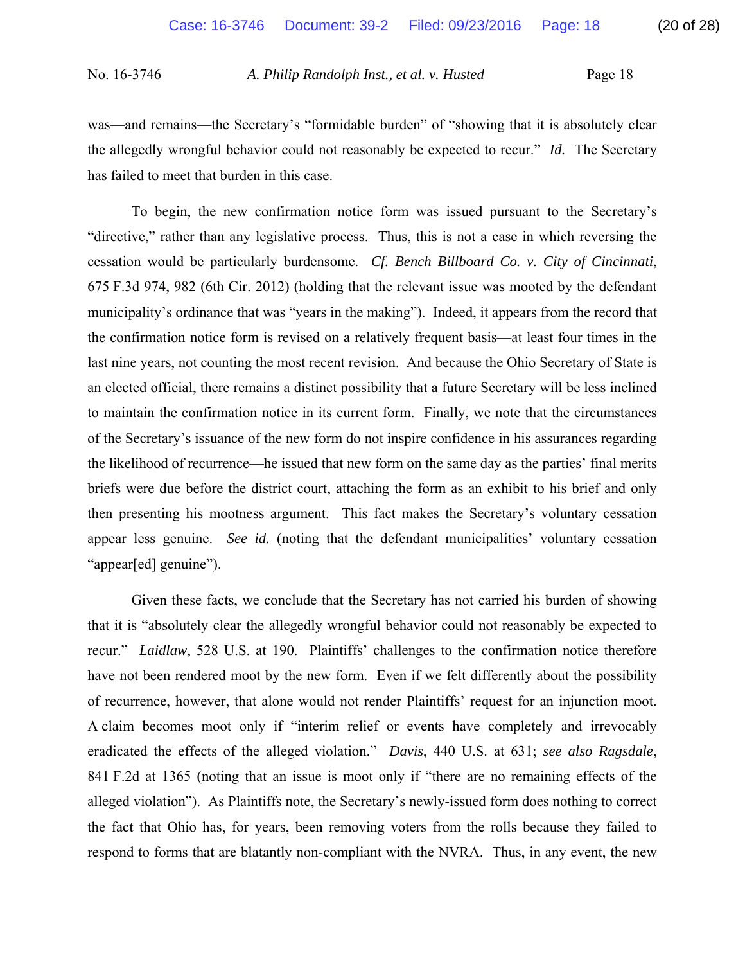was—and remains—the Secretary's "formidable burden" of "showing that it is absolutely clear the allegedly wrongful behavior could not reasonably be expected to recur." *Id.* The Secretary has failed to meet that burden in this case.

 To begin, the new confirmation notice form was issued pursuant to the Secretary's "directive," rather than any legislative process. Thus, this is not a case in which reversing the cessation would be particularly burdensome. *Cf. Bench Billboard Co. v. City of Cincinnati*, 675 F.3d 974, 982 (6th Cir. 2012) (holding that the relevant issue was mooted by the defendant municipality's ordinance that was "years in the making"). Indeed, it appears from the record that the confirmation notice form is revised on a relatively frequent basis—at least four times in the last nine years, not counting the most recent revision. And because the Ohio Secretary of State is an elected official, there remains a distinct possibility that a future Secretary will be less inclined to maintain the confirmation notice in its current form. Finally, we note that the circumstances of the Secretary's issuance of the new form do not inspire confidence in his assurances regarding the likelihood of recurrence—he issued that new form on the same day as the parties' final merits briefs were due before the district court, attaching the form as an exhibit to his brief and only then presenting his mootness argument. This fact makes the Secretary's voluntary cessation appear less genuine. *See id.* (noting that the defendant municipalities' voluntary cessation "appear[ed] genuine").

 Given these facts, we conclude that the Secretary has not carried his burden of showing that it is "absolutely clear the allegedly wrongful behavior could not reasonably be expected to recur." *Laidlaw*, 528 U.S. at 190. Plaintiffs' challenges to the confirmation notice therefore have not been rendered moot by the new form. Even if we felt differently about the possibility of recurrence, however, that alone would not render Plaintiffs' request for an injunction moot. A claim becomes moot only if "interim relief or events have completely and irrevocably eradicated the effects of the alleged violation." *Davis*, 440 U.S. at 631; *see also Ragsdale*, 841 F.2d at 1365 (noting that an issue is moot only if "there are no remaining effects of the alleged violation"). As Plaintiffs note, the Secretary's newly-issued form does nothing to correct the fact that Ohio has, for years, been removing voters from the rolls because they failed to respond to forms that are blatantly non-compliant with the NVRA. Thus, in any event, the new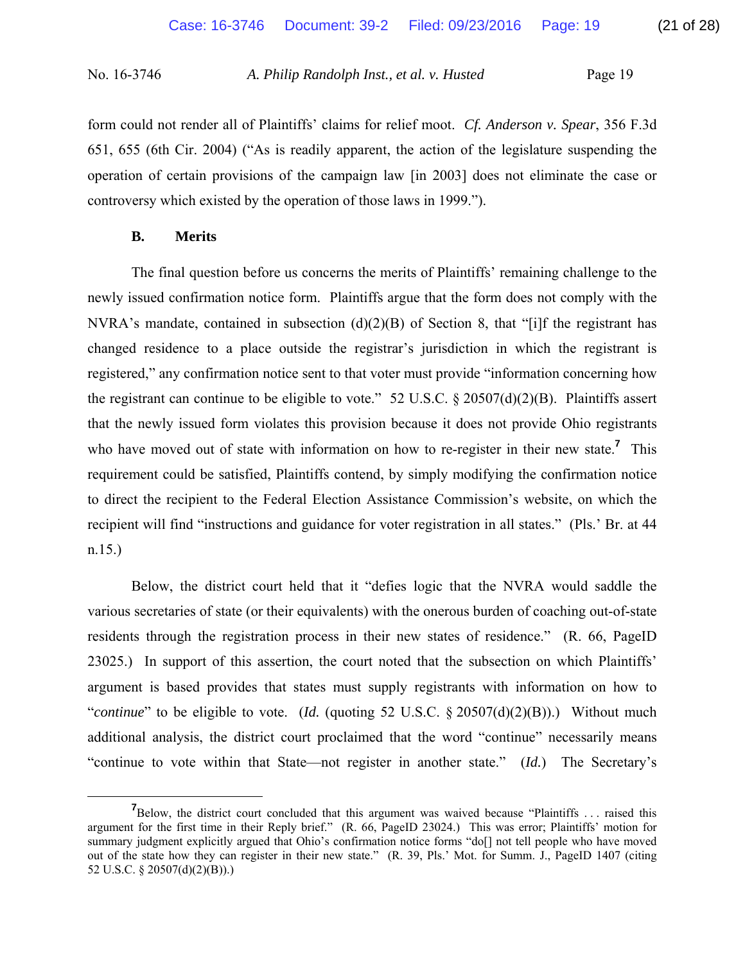form could not render all of Plaintiffs' claims for relief moot. *Cf. Anderson v. Spear*, 356 F.3d 651, 655 (6th Cir. 2004) ("As is readily apparent, the action of the legislature suspending the operation of certain provisions of the campaign law [in 2003] does not eliminate the case or controversy which existed by the operation of those laws in 1999.").

## **B. Merits**

 The final question before us concerns the merits of Plaintiffs' remaining challenge to the newly issued confirmation notice form. Plaintiffs argue that the form does not comply with the NVRA's mandate, contained in subsection  $(d)(2)(B)$  of Section 8, that "[i]f the registrant has changed residence to a place outside the registrar's jurisdiction in which the registrant is registered," any confirmation notice sent to that voter must provide "information concerning how the registrant can continue to be eligible to vote." 52 U.S.C.  $\S 20507(d)(2)(B)$ . Plaintiffs assert that the newly issued form violates this provision because it does not provide Ohio registrants who have moved out of state with information on how to re-register in their new state.**<sup>7</sup>** This requirement could be satisfied, Plaintiffs contend, by simply modifying the confirmation notice to direct the recipient to the Federal Election Assistance Commission's website, on which the recipient will find "instructions and guidance for voter registration in all states." (Pls.' Br. at 44 n.15.)

 Below, the district court held that it "defies logic that the NVRA would saddle the various secretaries of state (or their equivalents) with the onerous burden of coaching out-of-state residents through the registration process in their new states of residence." (R. 66, PageID 23025.) In support of this assertion, the court noted that the subsection on which Plaintiffs' argument is based provides that states must supply registrants with information on how to "*continue*" to be eligible to vote. (*Id.* (quoting 52 U.S.C. § 20507(d)(2)(B)).) Without much additional analysis, the district court proclaimed that the word "continue" necessarily means "continue to vote within that State—not register in another state." (*Id.*) The Secretary's

**<sup>7</sup> 7** Below, the district court concluded that this argument was waived because "Plaintiffs ... raised this argument for the first time in their Reply brief." (R. 66, PageID 23024.) This was error; Plaintiffs' motion for summary judgment explicitly argued that Ohio's confirmation notice forms "do[] not tell people who have moved out of the state how they can register in their new state." (R. 39, Pls.' Mot. for Summ. J., PageID 1407 (citing 52 U.S.C. § 20507(d)(2)(B)).)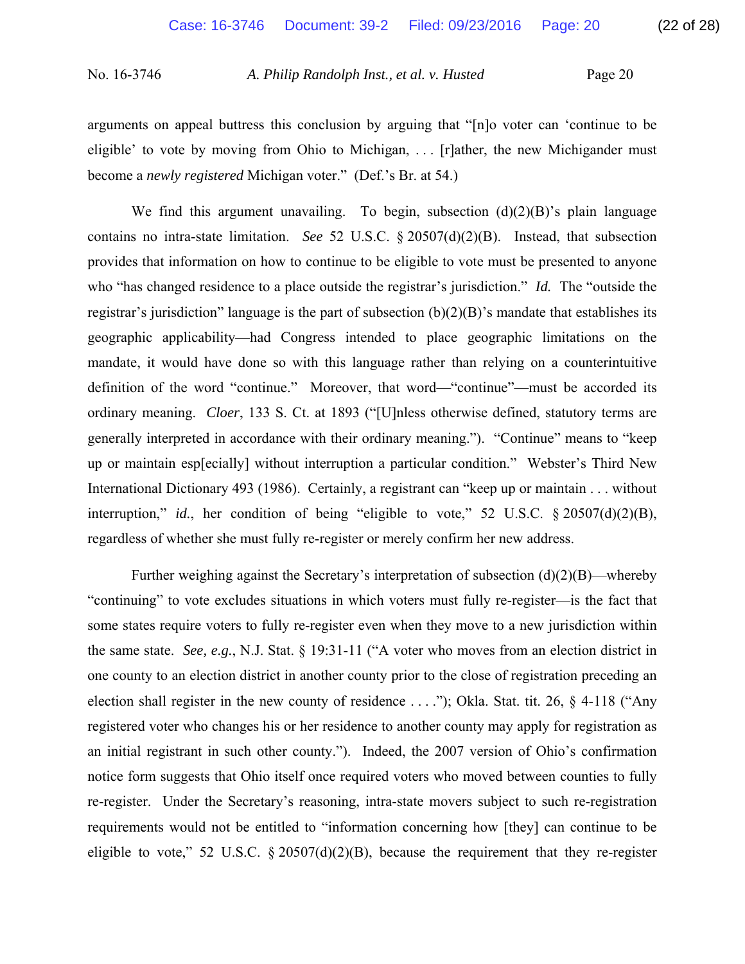arguments on appeal buttress this conclusion by arguing that "[n]o voter can 'continue to be eligible' to vote by moving from Ohio to Michigan, . . . [r]ather, the new Michigander must become a *newly registered* Michigan voter." (Def.'s Br. at 54.)

We find this argument unavailing. To begin, subsection  $(d)(2)(B)$ 's plain language contains no intra-state limitation. *See* 52 U.S.C. § 20507(d)(2)(B). Instead, that subsection provides that information on how to continue to be eligible to vote must be presented to anyone who "has changed residence to a place outside the registrar's jurisdiction." *Id.* The "outside the registrar's jurisdiction" language is the part of subsection  $(b)(2)(B)$ 's mandate that establishes its geographic applicability—had Congress intended to place geographic limitations on the mandate, it would have done so with this language rather than relying on a counterintuitive definition of the word "continue." Moreover, that word—"continue"—must be accorded its ordinary meaning. *Cloer*, 133 S. Ct. at 1893 ("[U]nless otherwise defined, statutory terms are generally interpreted in accordance with their ordinary meaning."). "Continue" means to "keep up or maintain esp[ecially] without interruption a particular condition." Webster's Third New International Dictionary 493 (1986). Certainly, a registrant can "keep up or maintain . . . without interruption," *id.*, her condition of being "eligible to vote," 52 U.S.C. § 20507(d)(2)(B), regardless of whether she must fully re-register or merely confirm her new address.

Further weighing against the Secretary's interpretation of subsection  $(d)(2)(B)$ —whereby "continuing" to vote excludes situations in which voters must fully re-register—is the fact that some states require voters to fully re-register even when they move to a new jurisdiction within the same state. *See, e.g.*, N.J. Stat. § 19:31-11 ("A voter who moves from an election district in one county to an election district in another county prior to the close of registration preceding an election shall register in the new county of residence . . . ."); Okla. Stat. tit. 26, § 4-118 ("Any registered voter who changes his or her residence to another county may apply for registration as an initial registrant in such other county."). Indeed, the 2007 version of Ohio's confirmation notice form suggests that Ohio itself once required voters who moved between counties to fully re-register. Under the Secretary's reasoning, intra-state movers subject to such re-registration requirements would not be entitled to "information concerning how [they] can continue to be eligible to vote," 52 U.S.C.  $\S 20507(d)(2)(B)$ , because the requirement that they re-register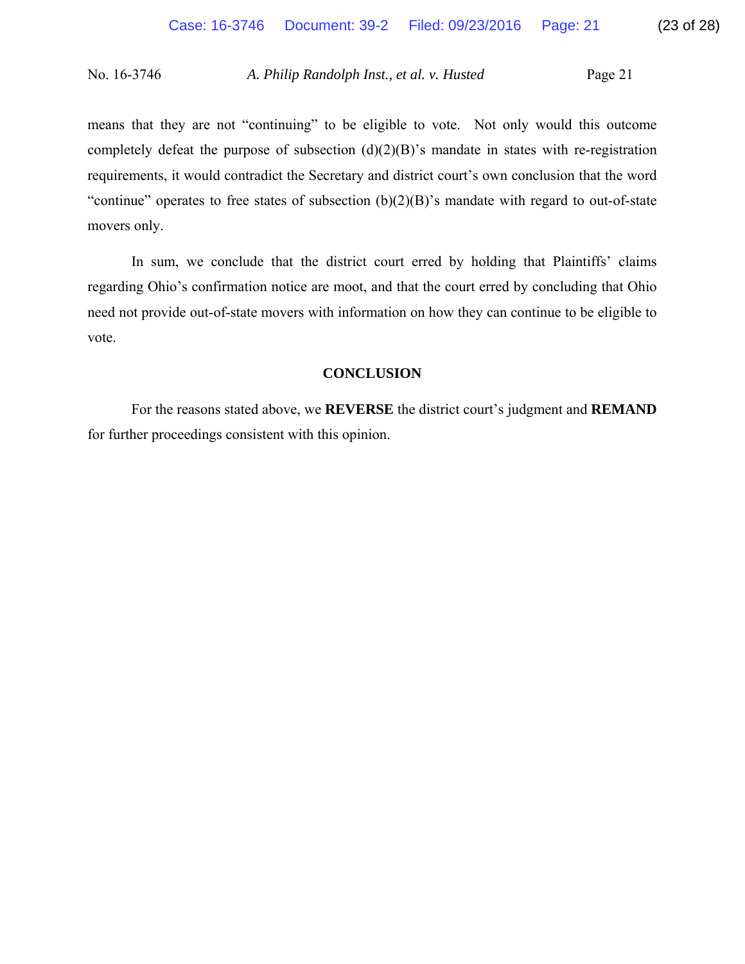means that they are not "continuing" to be eligible to vote. Not only would this outcome completely defeat the purpose of subsection  $(d)(2)(B)$ 's mandate in states with re-registration requirements, it would contradict the Secretary and district court's own conclusion that the word "continue" operates to free states of subsection  $(b)(2)(B)$ " smandate with regard to out-of-state movers only.

 In sum, we conclude that the district court erred by holding that Plaintiffs' claims regarding Ohio's confirmation notice are moot, and that the court erred by concluding that Ohio need not provide out-of-state movers with information on how they can continue to be eligible to vote.

# **CONCLUSION**

For the reasons stated above, we **REVERSE** the district court's judgment and **REMAND** for further proceedings consistent with this opinion.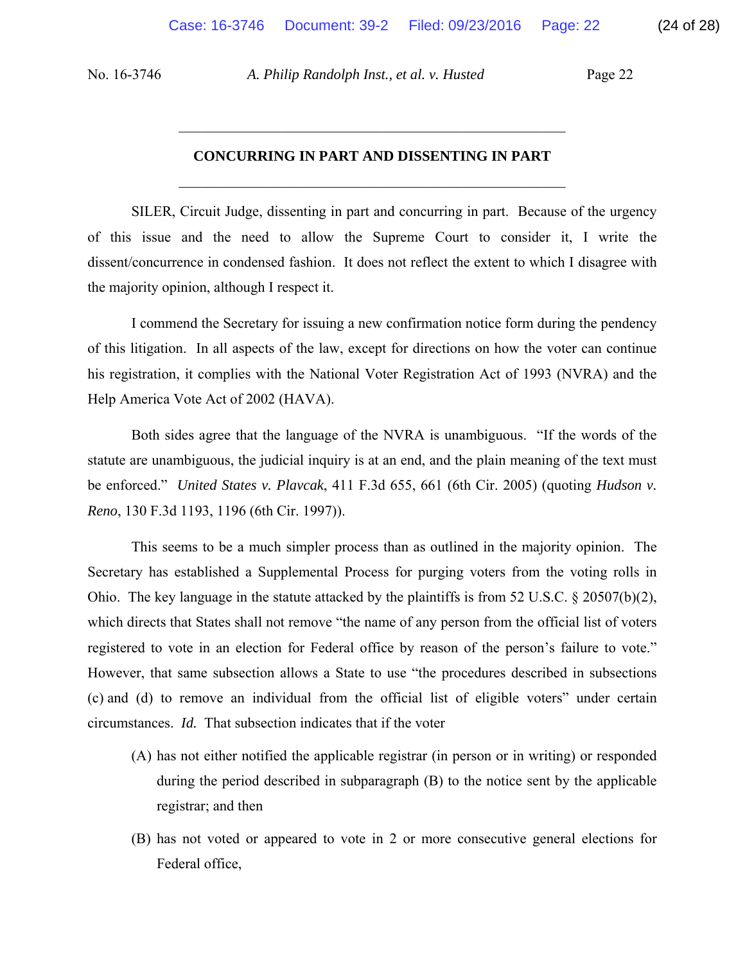### **CONCURRING IN PART AND DISSENTING IN PART**

 $\mathcal{L}_\mathcal{L}$  , and the set of the set of the set of the set of the set of the set of the set of the set of the set of the set of the set of the set of the set of the set of the set of the set of the set of the set of th

 $\mathcal{L}_\text{max}$  , and the contract of the contract of the contract of the contract of the contract of the contract of the contract of the contract of the contract of the contract of the contract of the contract of the contr

 SILER, Circuit Judge, dissenting in part and concurring in part. Because of the urgency of this issue and the need to allow the Supreme Court to consider it, I write the dissent/concurrence in condensed fashion. It does not reflect the extent to which I disagree with the majority opinion, although I respect it.

 I commend the Secretary for issuing a new confirmation notice form during the pendency of this litigation. In all aspects of the law, except for directions on how the voter can continue his registration, it complies with the National Voter Registration Act of 1993 (NVRA) and the Help America Vote Act of 2002 (HAVA).

Both sides agree that the language of the NVRA is unambiguous. "If the words of the statute are unambiguous, the judicial inquiry is at an end, and the plain meaning of the text must be enforced." *United States v. Plavcak*, 411 F.3d 655, 661 (6th Cir. 2005) (quoting *Hudson v. Reno*, 130 F.3d 1193, 1196 (6th Cir. 1997)).

This seems to be a much simpler process than as outlined in the majority opinion. The Secretary has established a Supplemental Process for purging voters from the voting rolls in Ohio. The key language in the statute attacked by the plaintiffs is from 52 U.S.C.  $\&$  20507(b)(2), which directs that States shall not remove "the name of any person from the official list of voters registered to vote in an election for Federal office by reason of the person's failure to vote." However, that same subsection allows a State to use "the procedures described in subsections (c) and (d) to remove an individual from the official list of eligible voters" under certain circumstances. *Id.* That subsection indicates that if the voter

- (A) has not either notified the applicable registrar (in person or in writing) or responded during the period described in subparagraph (B) to the notice sent by the applicable registrar; and then
- (B) has not voted or appeared to vote in 2 or more consecutive general elections for Federal office,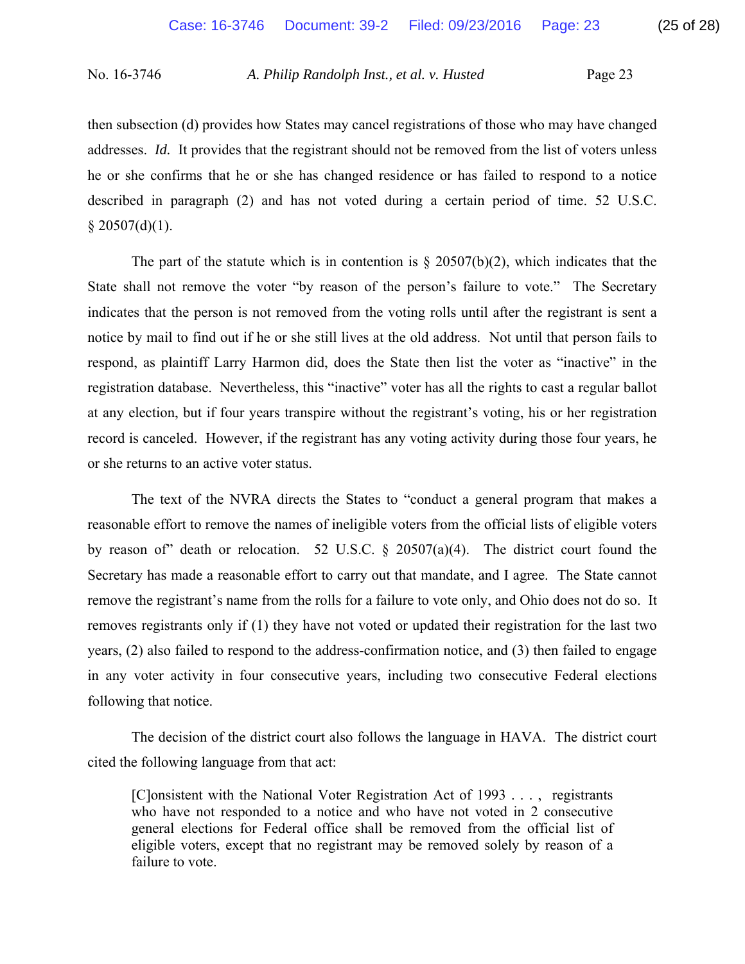then subsection (d) provides how States may cancel registrations of those who may have changed addresses. *Id.* It provides that the registrant should not be removed from the list of voters unless he or she confirms that he or she has changed residence or has failed to respond to a notice described in paragraph (2) and has not voted during a certain period of time. 52 U.S.C.  $§$  20507(d)(1).

The part of the statute which is in contention is  $\S 20507(b)(2)$ , which indicates that the State shall not remove the voter "by reason of the person's failure to vote." The Secretary indicates that the person is not removed from the voting rolls until after the registrant is sent a notice by mail to find out if he or she still lives at the old address. Not until that person fails to respond, as plaintiff Larry Harmon did, does the State then list the voter as "inactive" in the registration database. Nevertheless, this "inactive" voter has all the rights to cast a regular ballot at any election, but if four years transpire without the registrant's voting, his or her registration record is canceled. However, if the registrant has any voting activity during those four years, he or she returns to an active voter status.

 The text of the NVRA directs the States to "conduct a general program that makes a reasonable effort to remove the names of ineligible voters from the official lists of eligible voters by reason of" death or relocation. 52 U.S.C. § 20507(a)(4). The district court found the Secretary has made a reasonable effort to carry out that mandate, and I agree. The State cannot remove the registrant's name from the rolls for a failure to vote only, and Ohio does not do so. It removes registrants only if (1) they have not voted or updated their registration for the last two years, (2) also failed to respond to the address-confirmation notice, and (3) then failed to engage in any voter activity in four consecutive years, including two consecutive Federal elections following that notice.

 The decision of the district court also follows the language in HAVA. The district court cited the following language from that act:

[C]onsistent with the National Voter Registration Act of 1993 . . . , registrants who have not responded to a notice and who have not voted in 2 consecutive general elections for Federal office shall be removed from the official list of eligible voters, except that no registrant may be removed solely by reason of a failure to vote.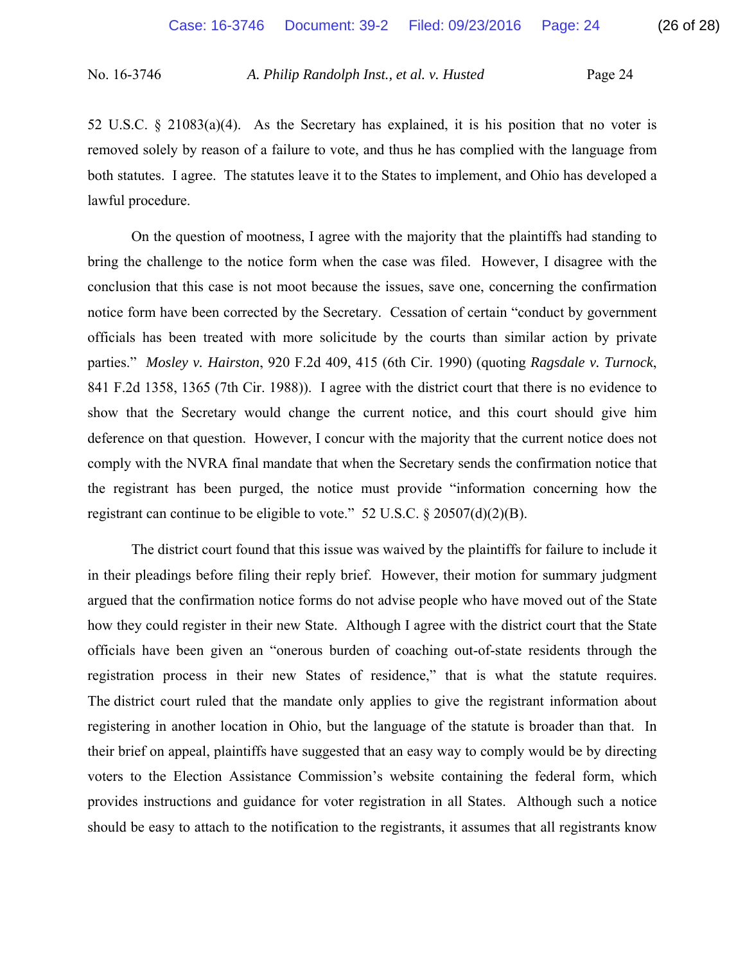52 U.S.C. § 21083(a)(4). As the Secretary has explained, it is his position that no voter is removed solely by reason of a failure to vote, and thus he has complied with the language from both statutes. I agree. The statutes leave it to the States to implement, and Ohio has developed a lawful procedure.

 On the question of mootness, I agree with the majority that the plaintiffs had standing to bring the challenge to the notice form when the case was filed. However, I disagree with the conclusion that this case is not moot because the issues, save one, concerning the confirmation notice form have been corrected by the Secretary. Cessation of certain "conduct by government officials has been treated with more solicitude by the courts than similar action by private parties." *Mosley v. Hairston*, 920 F.2d 409, 415 (6th Cir. 1990) (quoting *Ragsdale v. Turnock*, 841 F.2d 1358, 1365 (7th Cir. 1988)). I agree with the district court that there is no evidence to show that the Secretary would change the current notice, and this court should give him deference on that question. However, I concur with the majority that the current notice does not comply with the NVRA final mandate that when the Secretary sends the confirmation notice that the registrant has been purged, the notice must provide "information concerning how the registrant can continue to be eligible to vote."  $52 \text{ U.S.C.}$  §  $20507(d)(2)(B)$ .

The district court found that this issue was waived by the plaintiffs for failure to include it in their pleadings before filing their reply brief. However, their motion for summary judgment argued that the confirmation notice forms do not advise people who have moved out of the State how they could register in their new State. Although I agree with the district court that the State officials have been given an "onerous burden of coaching out-of-state residents through the registration process in their new States of residence," that is what the statute requires. The district court ruled that the mandate only applies to give the registrant information about registering in another location in Ohio, but the language of the statute is broader than that. In their brief on appeal, plaintiffs have suggested that an easy way to comply would be by directing voters to the Election Assistance Commission's website containing the federal form, which provides instructions and guidance for voter registration in all States. Although such a notice should be easy to attach to the notification to the registrants, it assumes that all registrants know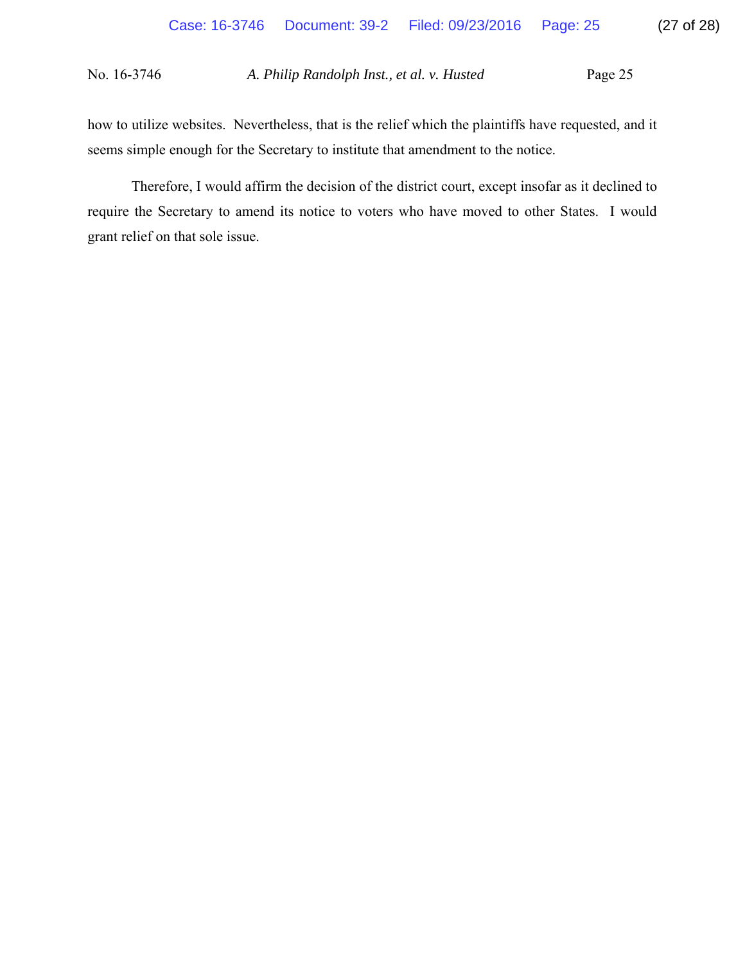how to utilize websites. Nevertheless, that is the relief which the plaintiffs have requested, and it seems simple enough for the Secretary to institute that amendment to the notice.

 Therefore, I would affirm the decision of the district court, except insofar as it declined to require the Secretary to amend its notice to voters who have moved to other States. I would grant relief on that sole issue.